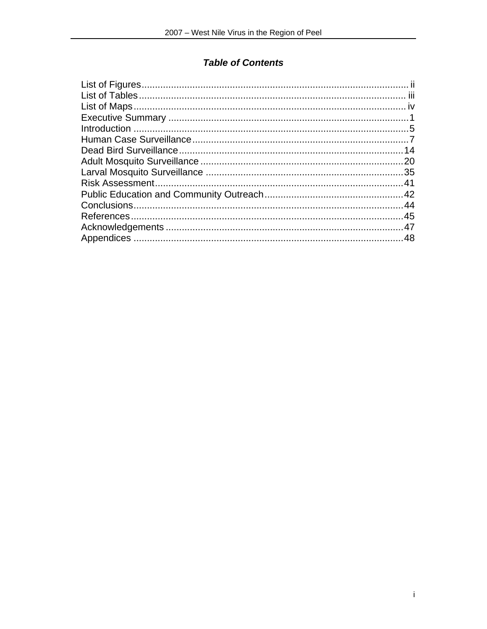# **Table of Contents**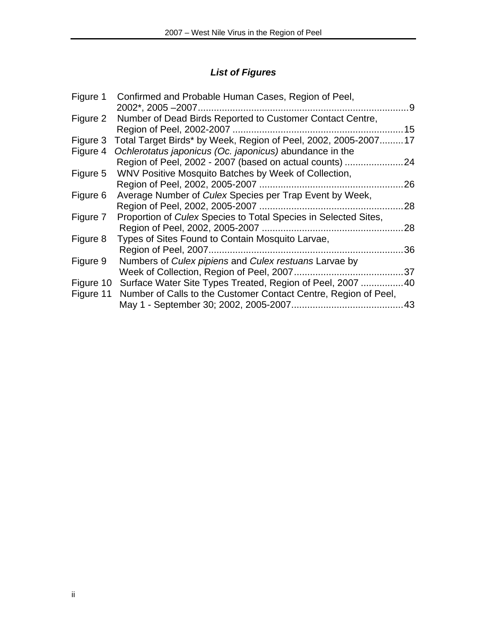# *List of Figures*

| Figure 1  | Confirmed and Probable Human Cases, Region of Peel,                 |     |
|-----------|---------------------------------------------------------------------|-----|
|           |                                                                     | . 9 |
| Figure 2  | Number of Dead Birds Reported to Customer Contact Centre,           |     |
|           |                                                                     | 15  |
| Figure 3  | Total Target Birds* by Week, Region of Peel, 2002, 2005-2007 17     |     |
| Figure 4  | Ochlerotatus japonicus (Oc. japonicus) abundance in the             |     |
|           | Region of Peel, 2002 - 2007 (based on actual counts)                | 24  |
| Figure 5  | WNV Positive Mosquito Batches by Week of Collection,                |     |
|           |                                                                     | 26  |
| Figure 6  | Average Number of Culex Species per Trap Event by Week,             |     |
|           |                                                                     | 28  |
| Figure 7  | Proportion of Culex Species to Total Species in Selected Sites,     |     |
|           |                                                                     | 28  |
| Figure 8  | Types of Sites Found to Contain Mosquito Larvae,                    |     |
|           |                                                                     | 36  |
| Figure 9  | Numbers of Culex pipiens and Culex restuans Larvae by               |     |
|           | Week of Collection, Region of Peel, 2007                            | 37  |
|           | Figure 10 Surface Water Site Types Treated, Region of Peel, 2007 40 |     |
| Figure 11 | Number of Calls to the Customer Contact Centre, Region of Peel,     |     |
|           |                                                                     | 43  |
|           |                                                                     |     |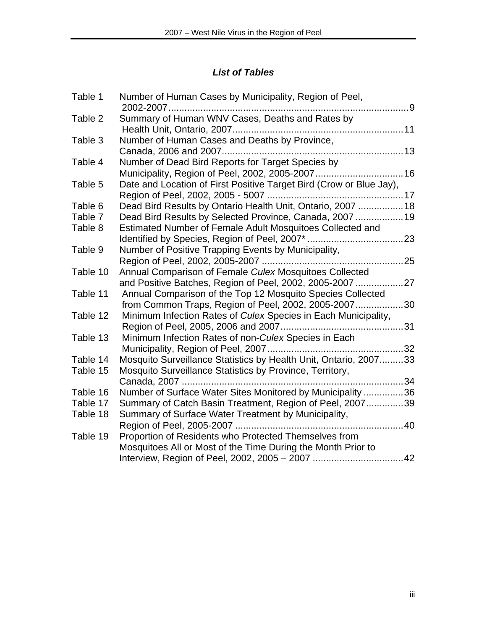# *List of Tables*

| Table 1  | Number of Human Cases by Municipality, Region of Peel,<br>2002-2007<br>. 9 |  |
|----------|----------------------------------------------------------------------------|--|
| Table 2  | Summary of Human WNV Cases, Deaths and Rates by                            |  |
| Table 3  | Number of Human Cases and Deaths by Province,                              |  |
|          |                                                                            |  |
| Table 4  | Number of Dead Bird Reports for Target Species by                          |  |
|          | Municipality, Region of Peel, 2002, 2005-2007 16                           |  |
| Table 5  | Date and Location of First Positive Target Bird (Crow or Blue Jay),        |  |
|          |                                                                            |  |
| Table 6  | Dead Bird Results by Ontario Health Unit, Ontario, 2007  18                |  |
| Table 7  | Dead Bird Results by Selected Province, Canada, 2007  19                   |  |
| Table 8  | Estimated Number of Female Adult Mosquitoes Collected and                  |  |
|          |                                                                            |  |
| Table 9  | Number of Positive Trapping Events by Municipality,                        |  |
|          |                                                                            |  |
| Table 10 | Annual Comparison of Female Culex Mosquitoes Collected                     |  |
|          | and Positive Batches, Region of Peel, 2002, 2005-2007 27                   |  |
| Table 11 | Annual Comparison of the Top 12 Mosquito Species Collected                 |  |
|          | from Common Traps, Region of Peel, 2002, 2005-200730                       |  |
| Table 12 | Minimum Infection Rates of Culex Species in Each Municipality,             |  |
|          |                                                                            |  |
| Table 13 | Minimum Infection Rates of non-Culex Species in Each                       |  |
|          |                                                                            |  |
| Table 14 | Mosquito Surveillance Statistics by Health Unit, Ontario, 200733           |  |
| Table 15 | Mosquito Surveillance Statistics by Province, Territory,                   |  |
|          |                                                                            |  |
| Table 16 | Number of Surface Water Sites Monitored by Municipality 36                 |  |
| Table 17 | Summary of Catch Basin Treatment, Region of Peel, 200739                   |  |
| Table 18 | Summary of Surface Water Treatment by Municipality,                        |  |
|          |                                                                            |  |
| Table 19 | Proportion of Residents who Protected Themselves from                      |  |
|          | Mosquitoes All or Most of the Time During the Month Prior to               |  |
|          |                                                                            |  |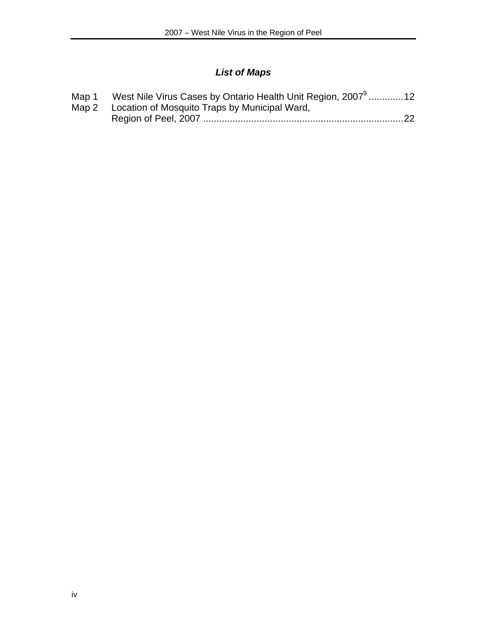# *List of Maps*

| Map 1 West Nile Virus Cases by Ontario Health Unit Region, 2007 <sup>9</sup> 12 |  |
|---------------------------------------------------------------------------------|--|
| Map 2 Location of Mosquito Traps by Municipal Ward,                             |  |
|                                                                                 |  |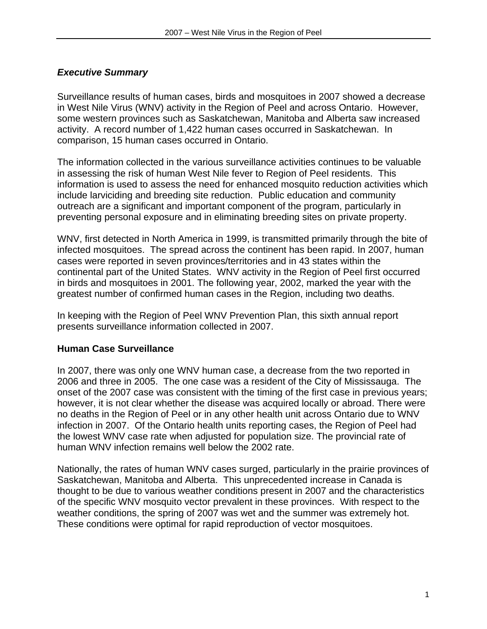# *Executive Summary*

Surveillance results of human cases, birds and mosquitoes in 2007 showed a decrease in West Nile Virus (WNV) activity in the Region of Peel and across Ontario. However, some western provinces such as Saskatchewan, Manitoba and Alberta saw increased activity. A record number of 1,422 human cases occurred in Saskatchewan. In comparison, 15 human cases occurred in Ontario.

The information collected in the various surveillance activities continues to be valuable in assessing the risk of human West Nile fever to Region of Peel residents. This information is used to assess the need for enhanced mosquito reduction activities which include larviciding and breeding site reduction. Public education and community outreach are a significant and important component of the program, particularly in preventing personal exposure and in eliminating breeding sites on private property.

WNV, first detected in North America in 1999, is transmitted primarily through the bite of infected mosquitoes. The spread across the continent has been rapid. In 2007, human cases were reported in seven provinces/territories and in 43 states within the continental part of the United States. WNV activity in the Region of Peel first occurred in birds and mosquitoes in 2001. The following year, 2002, marked the year with the greatest number of confirmed human cases in the Region, including two deaths.

In keeping with the Region of Peel WNV Prevention Plan, this sixth annual report presents surveillance information collected in 2007.

# **Human Case Surveillance**

In 2007, there was only one WNV human case, a decrease from the two reported in 2006 and three in 2005. The one case was a resident of the City of Mississauga. The onset of the 2007 case was consistent with the timing of the first case in previous years; however, it is not clear whether the disease was acquired locally or abroad. There were no deaths in the Region of Peel or in any other health unit across Ontario due to WNV infection in 2007. Of the Ontario health units reporting cases, the Region of Peel had the lowest WNV case rate when adjusted for population size. The provincial rate of human WNV infection remains well below the 2002 rate.

Nationally, the rates of human WNV cases surged, particularly in the prairie provinces of Saskatchewan, Manitoba and Alberta. This unprecedented increase in Canada is thought to be due to various weather conditions present in 2007 and the characteristics of the specific WNV mosquito vector prevalent in these provinces. With respect to the weather conditions, the spring of 2007 was wet and the summer was extremely hot. These conditions were optimal for rapid reproduction of vector mosquitoes.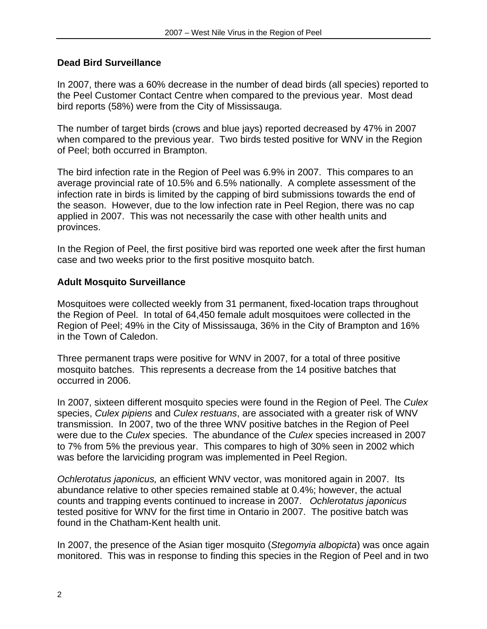#### **Dead Bird Surveillance**

In 2007, there was a 60% decrease in the number of dead birds (all species) reported to the Peel Customer Contact Centre when compared to the previous year. Most dead bird reports (58%) were from the City of Mississauga.

The number of target birds (crows and blue jays) reported decreased by 47% in 2007 when compared to the previous year. Two birds tested positive for WNV in the Region of Peel; both occurred in Brampton.

The bird infection rate in the Region of Peel was 6.9% in 2007. This compares to an average provincial rate of 10.5% and 6.5% nationally. A complete assessment of the infection rate in birds is limited by the capping of bird submissions towards the end of the season. However, due to the low infection rate in Peel Region, there was no cap applied in 2007. This was not necessarily the case with other health units and provinces.

In the Region of Peel, the first positive bird was reported one week after the first human case and two weeks prior to the first positive mosquito batch.

#### **Adult Mosquito Surveillance**

Mosquitoes were collected weekly from 31 permanent, fixed-location traps throughout the Region of Peel. In total of 64,450 female adult mosquitoes were collected in the Region of Peel; 49% in the City of Mississauga, 36% in the City of Brampton and 16% in the Town of Caledon.

Three permanent traps were positive for WNV in 2007, for a total of three positive mosquito batches. This represents a decrease from the 14 positive batches that occurred in 2006.

In 2007, sixteen different mosquito species were found in the Region of Peel. The *Culex* species, *Culex pipiens* and *Culex restuans*, are associated with a greater risk of WNV transmission. In 2007, two of the three WNV positive batches in the Region of Peel were due to the *Culex* species. The abundance of the *Culex* species increased in 2007 to 7% from 5% the previous year. This compares to high of 30% seen in 2002 which was before the larviciding program was implemented in Peel Region.

*Ochlerotatus japonicus,* an efficient WNV vector, was monitored again in 2007. Its abundance relative to other species remained stable at 0.4%; however, the actual counts and trapping events continued to increase in 2007. *Ochlerotatus japonicus*  tested positive for WNV for the first time in Ontario in 2007. The positive batch was found in the Chatham-Kent health unit.

In 2007, the presence of the Asian tiger mosquito (*Stegomyia albopicta*) was once again monitored. This was in response to finding this species in the Region of Peel and in two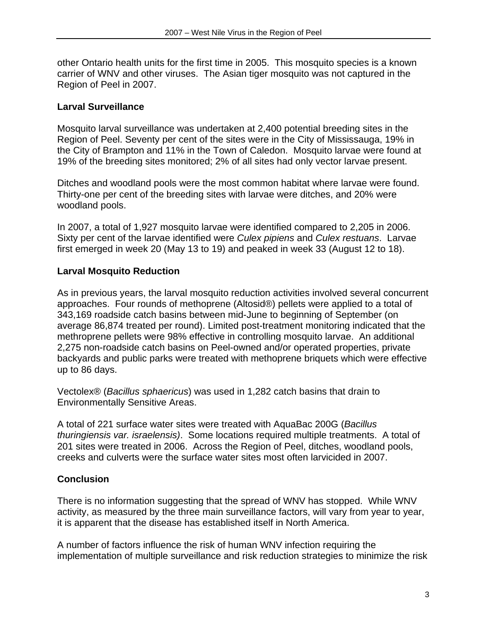other Ontario health units for the first time in 2005. This mosquito species is a known carrier of WNV and other viruses. The Asian tiger mosquito was not captured in the Region of Peel in 2007.

# **Larval Surveillance**

Mosquito larval surveillance was undertaken at 2,400 potential breeding sites in the Region of Peel. Seventy per cent of the sites were in the City of Mississauga, 19% in the City of Brampton and 11% in the Town of Caledon. Mosquito larvae were found at 19% of the breeding sites monitored; 2% of all sites had only vector larvae present.

Ditches and woodland pools were the most common habitat where larvae were found. Thirty-one per cent of the breeding sites with larvae were ditches, and 20% were woodland pools.

In 2007, a total of 1,927 mosquito larvae were identified compared to 2,205 in 2006. Sixty per cent of the larvae identified were *Culex pipiens* and *Culex restuans*. Larvae first emerged in week 20 (May 13 to 19) and peaked in week 33 (August 12 to 18).

# **Larval Mosquito Reduction**

As in previous years, the larval mosquito reduction activities involved several concurrent approaches. Four rounds of methoprene (Altosid®) pellets were applied to a total of 343,169 roadside catch basins between mid-June to beginning of September (on average 86,874 treated per round). Limited post-treatment monitoring indicated that the methroprene pellets were 98% effective in controlling mosquito larvae. An additional 2,275 non-roadside catch basins on Peel-owned and/or operated properties, private backyards and public parks were treated with methoprene briquets which were effective up to 86 days.

Vectolex® (*Bacillus sphaericus*) was used in 1,282 catch basins that drain to Environmentally Sensitive Areas.

A total of 221 surface water sites were treated with AquaBac 200G (*Bacillus thuringiensis var. israelensis)*. Some locations required multiple treatments. A total of 201 sites were treated in 2006. Across the Region of Peel, ditches, woodland pools, creeks and culverts were the surface water sites most often larvicided in 2007.

# **Conclusion**

There is no information suggesting that the spread of WNV has stopped. While WNV activity, as measured by the three main surveillance factors, will vary from year to year, it is apparent that the disease has established itself in North America.

A number of factors influence the risk of human WNV infection requiring the implementation of multiple surveillance and risk reduction strategies to minimize the risk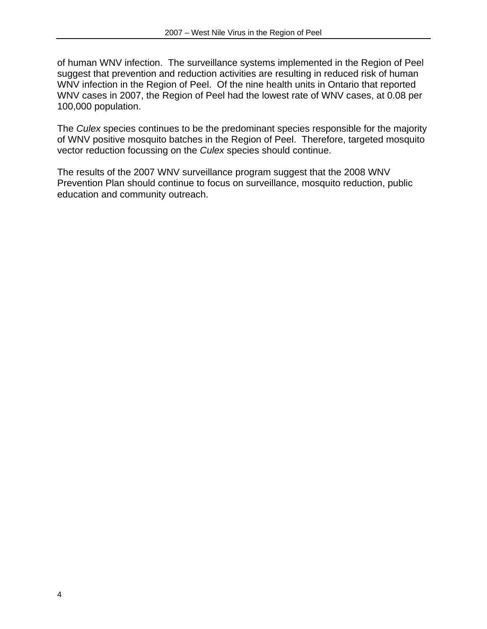of human WNV infection. The surveillance systems implemented in the Region of Peel suggest that prevention and reduction activities are resulting in reduced risk of human WNV infection in the Region of Peel. Of the nine health units in Ontario that reported WNV cases in 2007, the Region of Peel had the lowest rate of WNV cases, at 0.08 per 100,000 population.

The *Culex* species continues to be the predominant species responsible for the majority of WNV positive mosquito batches in the Region of Peel. Therefore, targeted mosquito vector reduction focussing on the *Culex* species should continue.

The results of the 2007 WNV surveillance program suggest that the 2008 WNV Prevention Plan should continue to focus on surveillance, mosquito reduction, public education and community outreach.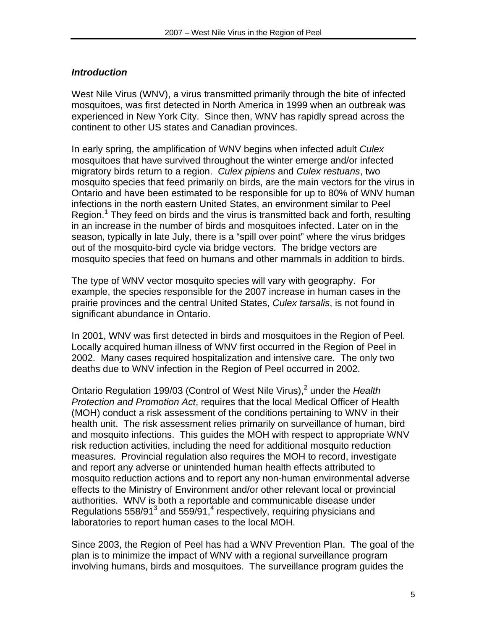# *Introduction*

West Nile Virus (WNV), a virus transmitted primarily through the bite of infected mosquitoes, was first detected in North America in 1999 when an outbreak was experienced in New York City. Since then, WNV has rapidly spread across the continent to other US states and Canadian provinces.

In early spring, the amplification of WNV begins when infected adult *Culex* mosquitoes that have survived throughout the winter emerge and/or infected migratory birds return to a region. *Culex pipiens* and *Culex restuans*, two mosquito species that feed primarily on birds, are the main vectors for the virus in Ontario and have been estimated to be responsible for up to 80% of WNV human infections in the north eastern United States, an environment similar to Peel Region.<sup>1</sup> They feed on birds and the virus is transmitted back and forth, resulting in an increase in the number of birds and mosquitoes infected. Later on in the season, typically in late July, there is a "spill over point" where the virus bridges out of the mosquito-bird cycle via bridge vectors. The bridge vectors are mosquito species that feed on humans and other mammals in addition to birds.

The type of WNV vector mosquito species will vary with geography. For example, the species responsible for the 2007 increase in human cases in the prairie provinces and the central United States, *Culex tarsalis*, is not found in significant abundance in Ontario.

In 2001, WNV was first detected in birds and mosquitoes in the Region of Peel. Locally acquired human illness of WNV first occurred in the Region of Peel in 2002. Many cases required hospitalization and intensive care. The only two deaths due to WNV infection in the Region of Peel occurred in 2002.

Ontario Regulation 199/03 (Control of West Nile Virus),<sup>2</sup> under the Health *Protection and Promotion Act*, requires that the local Medical Officer of Health (MOH) conduct a risk assessment of the conditions pertaining to WNV in their health unit. The risk assessment relies primarily on surveillance of human, bird and mosquito infections. This guides the MOH with respect to appropriate WNV risk reduction activities, including the need for additional mosquito reduction measures. Provincial regulation also requires the MOH to record, investigate and report any adverse or unintended human health effects attributed to mosquito reduction actions and to report any non-human environmental adverse effects to the Ministry of Environment and/or other relevant local or provincial authorities. WNV is both a reportable and communicable disease under Regulations 558/91 $^3$  and 559/91, $^4$  respectively, requiring physicians and laboratories to report human cases to the local MOH.

Since 2003, the Region of Peel has had a WNV Prevention Plan. The goal of the plan is to minimize the impact of WNV with a regional surveillance program involving humans, birds and mosquitoes. The surveillance program guides the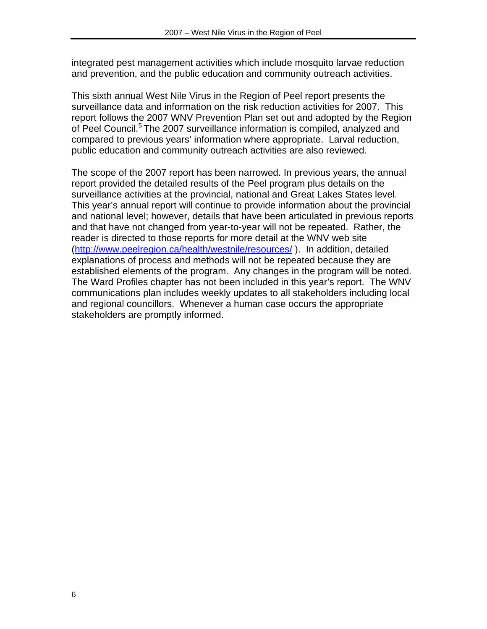integrated pest management activities which include mosquito larvae reduction and prevention, and the public education and community outreach activities.

This sixth annual West Nile Virus in the Region of Peel report presents the surveillance data and information on the risk reduction activities for 2007. This report follows the 2007 WNV Prevention Plan set out and adopted by the Region of Peel Council.<sup>5</sup> The 2007 surveillance information is compiled, analyzed and compared to previous years' information where appropriate. Larval reduction, public education and community outreach activities are also reviewed.

The scope of the 2007 report has been narrowed. In previous years, the annual report provided the detailed results of the Peel program plus details on the surveillance activities at the provincial, national and Great Lakes States level. This year's annual report will continue to provide information about the provincial and national level; however, details that have been articulated in previous reports and that have not changed from year-to-year will not be repeated. Rather, the reader is directed to those reports for more detail at the WNV web site (http://www.peelregion.ca/health/westnile/resources/ ). In addition, detailed explanations of process and methods will not be repeated because they are established elements of the program. Any changes in the program will be noted. The Ward Profiles chapter has not been included in this year's report. The WNV communications plan includes weekly updates to all stakeholders including local and regional councillors. Whenever a human case occurs the appropriate stakeholders are promptly informed.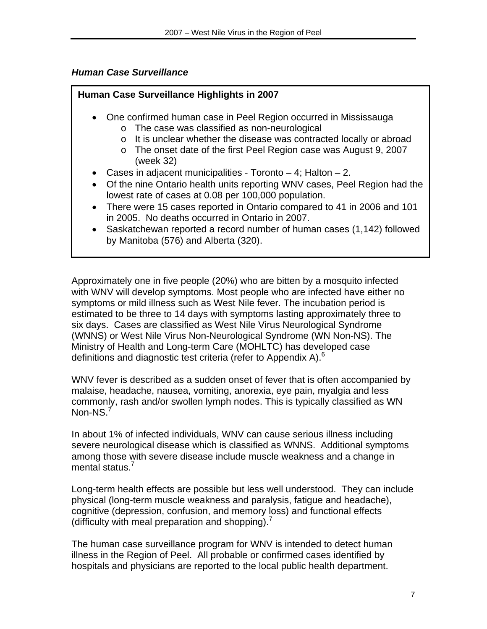# *Human Case Surveillance*

# **Human Case Surveillance Highlights in 2007**  • One confirmed human case in Peel Region occurred in Mississauga o The case was classified as non-neurological o It is unclear whether the disease was contracted locally or abroad o The onset date of the first Peel Region case was August 9, 2007 (week 32) • Cases in adjacent municipalities - Toronto  $-4$ ; Halton  $-2$ . • Of the nine Ontario health units reporting WNV cases, Peel Region had the lowest rate of cases at 0.08 per 100,000 population. • There were 15 cases reported in Ontario compared to 41 in 2006 and 101 in 2005. No deaths occurred in Ontario in 2007. • Saskatchewan reported a record number of human cases (1,142) followed by Manitoba (576) and Alberta (320).

Approximately one in five people (20%) who are bitten by a mosquito infected with WNV will develop symptoms. Most people who are infected have either no symptoms or mild illness such as West Nile fever. The incubation period is estimated to be three to 14 days with symptoms lasting approximately three to six days. Cases are classified as West Nile Virus Neurological Syndrome (WNNS) or West Nile Virus Non-Neurological Syndrome (WN Non-NS). The Ministry of Health and Long-term Care (MOHLTC) has developed case definitions and diagnostic test criteria (refer to Appendix A). $<sup>6</sup>$ </sup>

WNV fever is described as a sudden onset of fever that is often accompanied by malaise, headache, nausea, vomiting, anorexia, eye pain, myalgia and less commonly, rash and/or swollen lymph nodes. This is typically classified as WN Non-NS.<sup>7</sup>

In about 1% of infected individuals, WNV can cause serious illness including severe neurological disease which is classified as WNNS. Additional symptoms among those with severe disease include muscle weakness and a change in mental status.<sup>7</sup>

Long-term health effects are possible but less well understood. They can include physical (long-term muscle weakness and paralysis, fatigue and headache), cognitive (depression, confusion, and memory loss) and functional effects (difficulty with meal preparation and shopping).<sup>7</sup>

The human case surveillance program for WNV is intended to detect human illness in the Region of Peel. All probable or confirmed cases identified by hospitals and physicians are reported to the local public health department.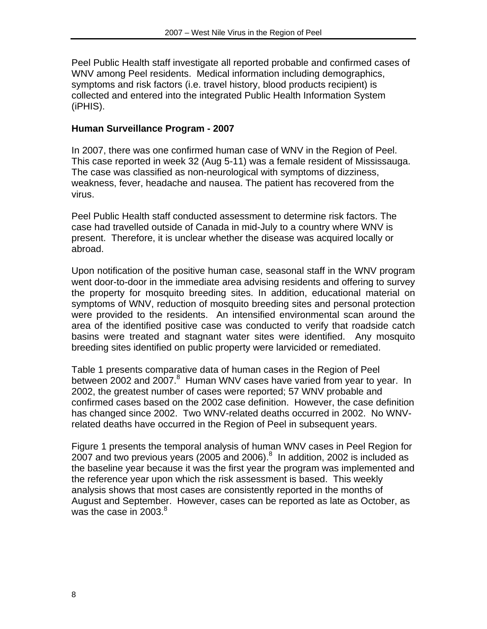Peel Public Health staff investigate all reported probable and confirmed cases of WNV among Peel residents. Medical information including demographics, symptoms and risk factors (i.e. travel history, blood products recipient) is collected and entered into the integrated Public Health Information System (iPHIS).

### **Human Surveillance Program - 2007**

In 2007, there was one confirmed human case of WNV in the Region of Peel. This case reported in week 32 (Aug 5-11) was a female resident of Mississauga. The case was classified as non-neurological with symptoms of dizziness, weakness, fever, headache and nausea. The patient has recovered from the virus.

Peel Public Health staff conducted assessment to determine risk factors. The case had travelled outside of Canada in mid-July to a country where WNV is present. Therefore, it is unclear whether the disease was acquired locally or abroad.

Upon notification of the positive human case, seasonal staff in the WNV program went door-to-door in the immediate area advising residents and offering to survey the property for mosquito breeding sites. In addition, educational material on symptoms of WNV, reduction of mosquito breeding sites and personal protection were provided to the residents. An intensified environmental scan around the area of the identified positive case was conducted to verify that roadside catch basins were treated and stagnant water sites were identified. Any mosquito breeding sites identified on public property were larvicided or remediated.

Table 1 presents comparative data of human cases in the Region of Peel between 2002 and 2007.<sup>8</sup> Human WNV cases have varied from year to year. In 2002, the greatest number of cases were reported; 57 WNV probable and confirmed cases based on the 2002 case definition. However, the case definition has changed since 2002. Two WNV-related deaths occurred in 2002. No WNVrelated deaths have occurred in the Region of Peel in subsequent years.

Figure 1 presents the temporal analysis of human WNV cases in Peel Region for 2007 and two previous years (2005 and 2006). $8$  In addition, 2002 is included as the baseline year because it was the first year the program was implemented and the reference year upon which the risk assessment is based. This weekly analysis shows that most cases are consistently reported in the months of August and September. However, cases can be reported as late as October, as was the case in 2003. $8$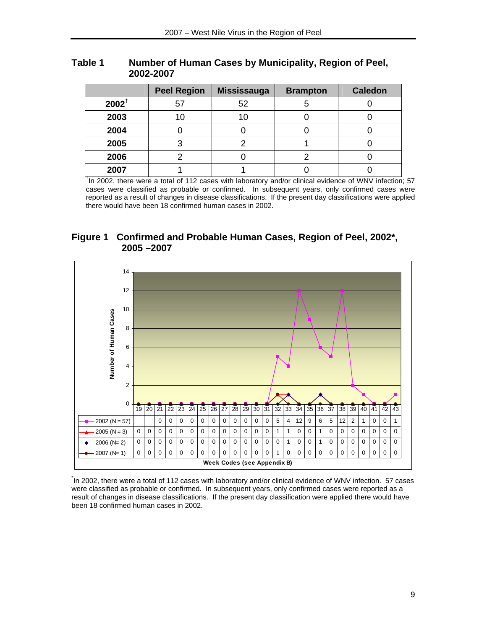|                  | <b>Peel Region</b> | Mississauga | <b>Brampton</b> | <b>Caledon</b> |
|------------------|--------------------|-------------|-----------------|----------------|
| $2002^{\dagger}$ | 57                 | 52          |                 |                |
| 2003             | 10                 |             |                 |                |
| 2004             |                    |             |                 |                |
| 2005             |                    |             |                 |                |
| 2006             |                    |             |                 |                |
| 2007             |                    |             |                 |                |

#### **Table 1 Number of Human Cases by Municipality, Region of Peel, 2002-2007**

<sup>t</sup>In 2002, there were a total of 112 cases with laboratory and/or clinical evidence of WNV infection; 57 cases were classified as probable or confirmed. In subsequent years, only confirmed cases were reported as a result of changes in disease classifications. If the present day classifications were applied there would have been 18 confirmed human cases in 2002.

#### **Figure 1 Confirmed and Probable Human Cases, Region of Peel, 2002\*, 2005 –2007**



\* In 2002, there were a total of 112 cases with laboratory and/or clinical evidence of WNV infection. 57 cases were classified as probable or confirmed. In subsequent years, only confirmed cases were reported as a result of changes in disease classifications. If the present day classification were applied there would have been 18 confirmed human cases in 2002.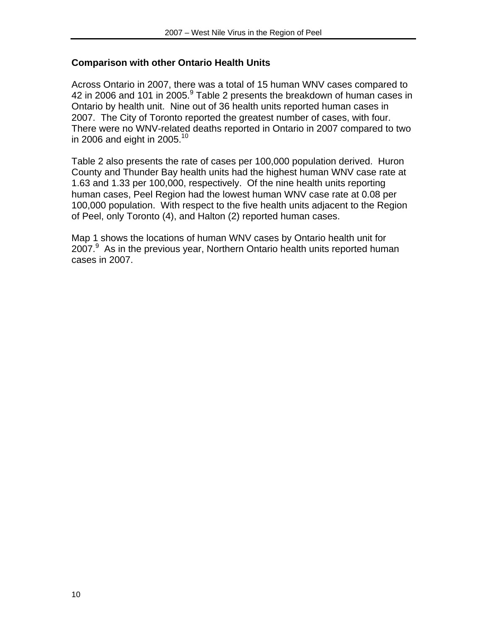#### **Comparison with other Ontario Health Units**

Across Ontario in 2007, there was a total of 15 human WNV cases compared to 42 in 2006 and 101 in 2005. $^9$  Table 2 presents the breakdown of human cases in Ontario by health unit. Nine out of 36 health units reported human cases in 2007. The City of Toronto reported the greatest number of cases, with four. There were no WNV-related deaths reported in Ontario in 2007 compared to two in 2006 and eight in 2005. $10$ 

Table 2 also presents the rate of cases per 100,000 population derived. Huron County and Thunder Bay health units had the highest human WNV case rate at 1.63 and 1.33 per 100,000, respectively. Of the nine health units reporting human cases, Peel Region had the lowest human WNV case rate at 0.08 per 100,000 population. With respect to the five health units adjacent to the Region of Peel, only Toronto (4), and Halton (2) reported human cases.

Map 1 shows the locations of human WNV cases by Ontario health unit for 2007.<sup>9</sup> As in the previous year, Northern Ontario health units reported human cases in 2007.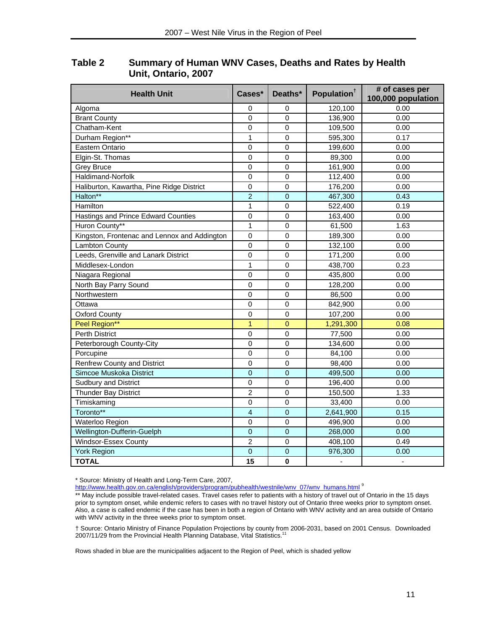| <b>Health Unit</b>                           | Cases*         | Deaths*        | Population <sup>†</sup>  | # of cases per<br>100,000 population |
|----------------------------------------------|----------------|----------------|--------------------------|--------------------------------------|
| Algoma                                       | 0              | 0              | 120,100                  | 0.00                                 |
| <b>Brant County</b>                          | 0              | 0              | 136,900                  | 0.00                                 |
| Chatham-Kent                                 | 0              | 0              | 109,500                  | 0.00                                 |
| Durham Region**                              | $\mathbf{1}$   | $\mathbf 0$    | 595,300                  | 0.17                                 |
| Eastern Ontario                              | 0              | 0              | 199,600                  | 0.00                                 |
| Elgin-St. Thomas                             | $\mathbf 0$    | $\mathbf 0$    | 89,300                   | 0.00                                 |
| <b>Grey Bruce</b>                            | $\mathbf 0$    | $\mathbf 0$    | 161,900                  | 0.00                                 |
| Haldimand-Norfolk                            | $\mathbf 0$    | $\mathbf 0$    | 112,400                  | 0.00                                 |
| Haliburton, Kawartha, Pine Ridge District    | $\mathsf 0$    | 0              | 176,200                  | 0.00                                 |
| Halton**                                     | $\overline{2}$ | $\overline{0}$ | 467,300                  | 0.43                                 |
| Hamilton                                     | $\mathbf{1}$   | $\mathbf 0$    | 522,400                  | 0.19                                 |
| Hastings and Prince Edward Counties          | 0              | $\mathbf 0$    | 163,400                  | 0.00                                 |
| Huron County**                               | $\mathbf{1}$   | $\mathbf 0$    | 61,500                   | 1.63                                 |
| Kingston, Frontenac and Lennox and Addington | $\mathsf 0$    | $\mathbf 0$    | 189,300                  | 0.00                                 |
| Lambton County                               | $\mathbf 0$    | 0              | 132,100                  | 0.00                                 |
| Leeds, Grenville and Lanark District         | $\mathsf 0$    | 0              | 171,200                  | 0.00                                 |
| Middlesex-London                             | 1              | $\mathbf 0$    | 438,700                  | 0.23                                 |
| Niagara Regional                             | $\mathsf 0$    | $\mathsf 0$    | 435,800                  | 0.00                                 |
| North Bay Parry Sound                        | $\mathsf 0$    | 0              | 128,200                  | 0.00                                 |
| Northwestern                                 | 0              | $\Omega$       | 86,500                   | 0.00                                 |
| Ottawa                                       | $\mathbf 0$    | $\mathbf 0$    | 842,900                  | 0.00                                 |
| <b>Oxford County</b>                         | $\mathbf 0$    | $\mathbf 0$    | 107,200                  | 0.00                                 |
| Peel Region**                                | $\overline{1}$ | $\overline{0}$ | 1,291,300                | 0.08                                 |
| <b>Perth District</b>                        | $\mathbf 0$    | 0              | 77,500                   | 0.00                                 |
| Peterborough County-City                     | $\overline{0}$ | $\mathbf 0$    | 134,600                  | 0.00                                 |
| Porcupine                                    | $\mathbf 0$    | 0              | 84,100                   | 0.00                                 |
| <b>Renfrew County and District</b>           | $\overline{0}$ | $\mathbf 0$    | 98,400                   | 0.00                                 |
| Simcoe Muskoka District                      | $\overline{0}$ | $\overline{0}$ | 499,500                  | 0.00                                 |
| <b>Sudbury and District</b>                  | $\mathbf 0$    | $\mathbf 0$    | 196,400                  | 0.00                                 |
| Thunder Bay District                         | $\overline{2}$ | $\mathbf 0$    | 150,500                  | 1.33                                 |
| Timiskaming                                  | 0              | 0              | 33,400                   | 0.00                                 |
| Toronto**                                    | $\overline{4}$ | $\overline{0}$ | 2,641,900                | 0.15                                 |
| Waterloo Region                              | 0              | 0              | 496,900                  | 0.00                                 |
| Wellington-Dufferin-Guelph                   | $\mathbf 0$    | $\overline{0}$ | 268,000                  | 0.00                                 |
| Windsor-Essex County                         | $\overline{2}$ | $\mathbf 0$    | 408,100                  | 0.49                                 |
| <b>York Region</b>                           | $\mathbf 0$    | $\overline{0}$ | 976,300                  | 0.00                                 |
| <b>TOTAL</b>                                 | 15             | $\mathbf 0$    | $\overline{\phantom{a}}$ | $\overline{\phantom{a}}$             |

**Table 2 Summary of Human WNV Cases, Deaths and Rates by Health Unit, Ontario, 2007** 

\* Source: Ministry of Health and Long-Term Care, 2007,

http://www.health.gov.on.ca/english/providers/program/pubhealth/westnile/wnv\_07/wnv\_humans.html 9

† Source: Ontario Ministry of Finance Population Projections by county from 2006-2031, based on 2001 Census. Downloaded 2007/11/29 from the Provincial Health Planning Database, Vital Statistics.<sup>11</sup>

Rows shaded in blue are the municipalities adjacent to the Region of Peel, which is shaded yellow

<sup>\*\*</sup> May include possible travel-related cases. Travel cases refer to patients with a history of travel out of Ontario in the 15 days prior to symptom onset, while endemic refers to cases with no travel history out of Ontario three weeks prior to symptom onset. Also, a case is called endemic if the case has been in both a region of Ontario with WNV activity and an area outside of Ontario with WNV activity in the three weeks prior to symptom onset.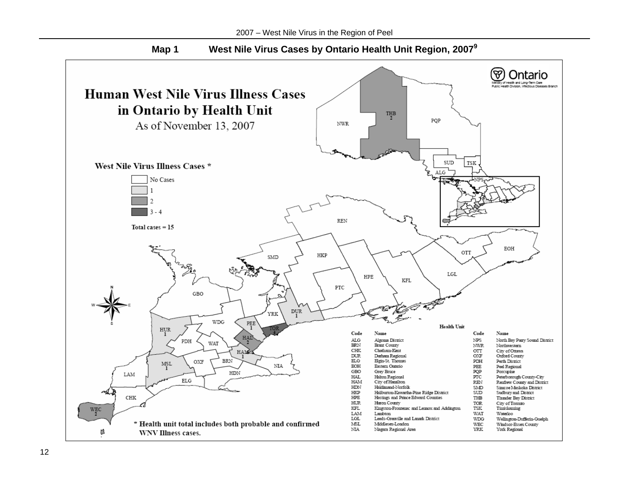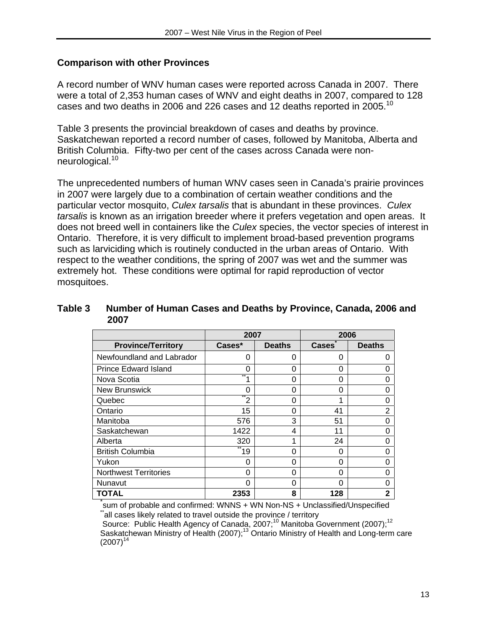#### **Comparison with other Provinces**

A record number of WNV human cases were reported across Canada in 2007. There were a total of 2,353 human cases of WNV and eight deaths in 2007, compared to 128 cases and two deaths in 2006 and 226 cases and 12 deaths reported in 2005.<sup>10</sup>

Table 3 presents the provincial breakdown of cases and deaths by province. Saskatchewan reported a record number of cases, followed by Manitoba, Alberta and British Columbia. Fifty-two per cent of the cases across Canada were nonneurological.<sup>10</sup>

The unprecedented numbers of human WNV cases seen in Canada's prairie provinces in 2007 were largely due to a combination of certain weather conditions and the particular vector mosquito, *Culex tarsalis* that is abundant in these provinces. *Culex tarsalis* is known as an irrigation breeder where it prefers vegetation and open areas. It does not breed well in containers like the *Culex* species, the vector species of interest in Ontario. Therefore, it is very difficult to implement broad-based prevention programs such as larviciding which is routinely conducted in the urban areas of Ontario. With respect to the weather conditions, the spring of 2007 was wet and the summer was extremely hot. These conditions were optimal for rapid reproduction of vector mosquitoes.

#### **Table 3 Number of Human Cases and Deaths by Province, Canada, 2006 and 2007**

|                              | 2007   |               | 2006         |                |
|------------------------------|--------|---------------|--------------|----------------|
| <b>Province/Territory</b>    | Cases* | <b>Deaths</b> | <b>Cases</b> | <b>Deaths</b>  |
| Newfoundland and Labrador    | 0      | 0             | 0            | 0              |
| <b>Prince Edward Island</b>  | 0      | $\Omega$      | 0            | 0              |
| Nova Scotia                  |        | 0             | 0            | 0              |
| <b>New Brunswick</b>         | 0      | 0             | 0            | 0              |
| Quebec                       | 2      | $\Omega$      | 1            | 0              |
| Ontario                      | 15     | 0             | 41           | $\overline{2}$ |
| Manitoba                     | 576    | 3             | 51           | 0              |
| Saskatchewan                 | 1422   | 4             | 11           | 0              |
| Alberta                      | 320    | 1             | 24           | 0              |
| <b>British Columbia</b>      | 19     | $\Omega$      | 0            | 0              |
| Yukon                        | 0      | 0             | 0            | 0              |
| <b>Northwest Territories</b> | 0      | $\Omega$      | 0            | 0              |
| Nunavut                      | 0      | 0             | 0            | 0              |
| <b>TOTAL</b>                 | 2353   | 8             | 128          | 2              |

\*<br>sum of probable and confirmed: WNNS + WN Non-NS + Unclassified/Unspecified<br>"all cases likely related to travel outside the province / territory

Source: Public Health Agency of Canada, 2007;<sup>10</sup> Manitoba Government (2007);<sup>12</sup> Saskatchewan Ministry of Health (2007);<sup>13</sup> Ontario Ministry of Health and Long-term care  $(2007)^{14}$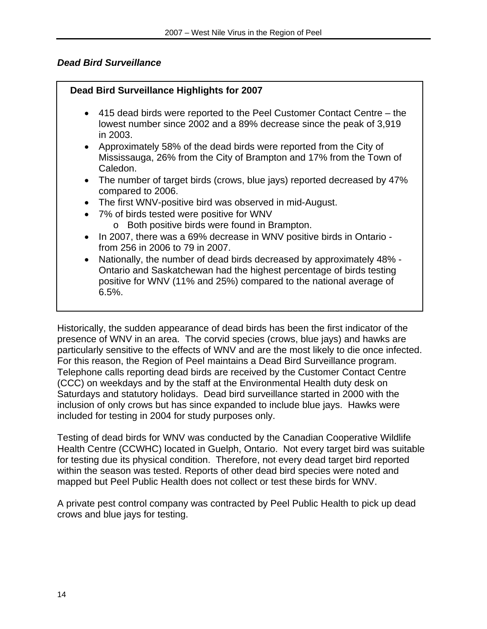# *Dead Bird Surveillance*

# **Dead Bird Surveillance Highlights for 2007**

- 415 dead birds were reported to the Peel Customer Contact Centre the lowest number since 2002 and a 89% decrease since the peak of 3,919 in 2003.
- Approximately 58% of the dead birds were reported from the City of Mississauga, 26% from the City of Brampton and 17% from the Town of Caledon.
- The number of target birds (crows, blue jays) reported decreased by 47% compared to 2006.
- The first WNV-positive bird was observed in mid-August.
- 7% of birds tested were positive for WNV
	- o Both positive birds were found in Brampton.
- In 2007, there was a 69% decrease in WNV positive birds in Ontario from 256 in 2006 to 79 in 2007.
- Nationally, the number of dead birds decreased by approximately 48% Ontario and Saskatchewan had the highest percentage of birds testing positive for WNV (11% and 25%) compared to the national average of 6.5%.

Historically, the sudden appearance of dead birds has been the first indicator of the presence of WNV in an area. The corvid species (crows, blue jays) and hawks are particularly sensitive to the effects of WNV and are the most likely to die once infected. For this reason, the Region of Peel maintains a Dead Bird Surveillance program. Telephone calls reporting dead birds are received by the Customer Contact Centre (CCC) on weekdays and by the staff at the Environmental Health duty desk on Saturdays and statutory holidays. Dead bird surveillance started in 2000 with the inclusion of only crows but has since expanded to include blue jays. Hawks were included for testing in 2004 for study purposes only.

Testing of dead birds for WNV was conducted by the Canadian Cooperative Wildlife Health Centre (CCWHC) located in Guelph, Ontario. Not every target bird was suitable for testing due its physical condition. Therefore, not every dead target bird reported within the season was tested. Reports of other dead bird species were noted and mapped but Peel Public Health does not collect or test these birds for WNV.

A private pest control company was contracted by Peel Public Health to pick up dead crows and blue jays for testing.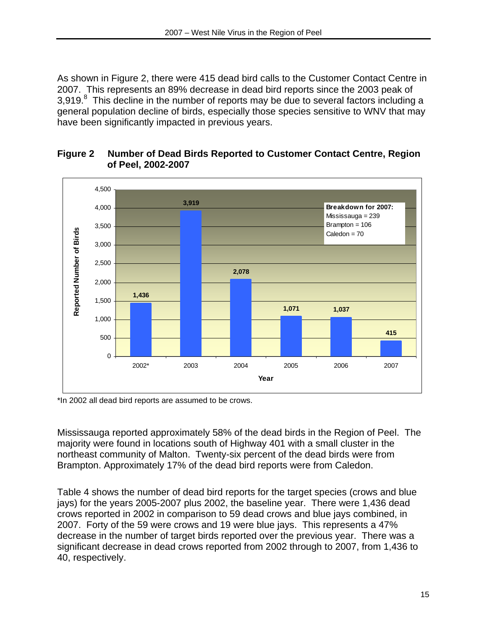As shown in Figure 2, there were 415 dead bird calls to the Customer Contact Centre in 2007. This represents an 89% decrease in dead bird reports since the 2003 peak of 3,919. $8$  This decline in the number of reports may be due to several factors including a general population decline of birds, especially those species sensitive to WNV that may have been significantly impacted in previous years.



#### **Figure 2 Number of Dead Birds Reported to Customer Contact Centre, Region of Peel, 2002-2007**

\*In 2002 all dead bird reports are assumed to be crows.

Mississauga reported approximately 58% of the dead birds in the Region of Peel. The majority were found in locations south of Highway 401 with a small cluster in the northeast community of Malton. Twenty-six percent of the dead birds were from Brampton. Approximately 17% of the dead bird reports were from Caledon.

Table 4 shows the number of dead bird reports for the target species (crows and blue jays) for the years 2005-2007 plus 2002, the baseline year. There were 1,436 dead crows reported in 2002 in comparison to 59 dead crows and blue jays combined, in 2007. Forty of the 59 were crows and 19 were blue jays. This represents a 47% decrease in the number of target birds reported over the previous year. There was a significant decrease in dead crows reported from 2002 through to 2007, from 1,436 to 40, respectively.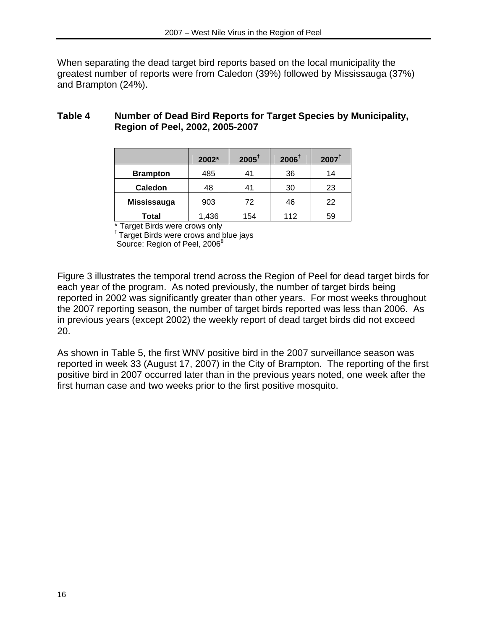When separating the dead target bird reports based on the local municipality the greatest number of reports were from Caledon (39%) followed by Mississauga (37%) and Brampton (24%).

# **Table 4 Number of Dead Bird Reports for Target Species by Municipality, Region of Peel, 2002, 2005-2007**

|                 | 2002* | $2005^{\dagger}$ | $2006^{\dagger}$ | $2007^{\dagger}$ |
|-----------------|-------|------------------|------------------|------------------|
| <b>Brampton</b> | 485   | 41               | 36               | 14               |
| <b>Caledon</b>  | 48    | 41               | 30               | 23               |
| Mississauga     | 903   | 72               | 46               | 22               |
| Total           | 1,436 | 154              | 112              | 59               |

\* Target Birds were crows only

† Target Birds were crows and blue jays

Source: Region of Peel, 2006<sup>8</sup>

Figure 3 illustrates the temporal trend across the Region of Peel for dead target birds for each year of the program. As noted previously, the number of target birds being reported in 2002 was significantly greater than other years. For most weeks throughout the 2007 reporting season, the number of target birds reported was less than 2006. As in previous years (except 2002) the weekly report of dead target birds did not exceed 20.

As shown in Table 5, the first WNV positive bird in the 2007 surveillance season was reported in week 33 (August 17, 2007) in the City of Brampton. The reporting of the first positive bird in 2007 occurred later than in the previous years noted, one week after the first human case and two weeks prior to the first positive mosquito.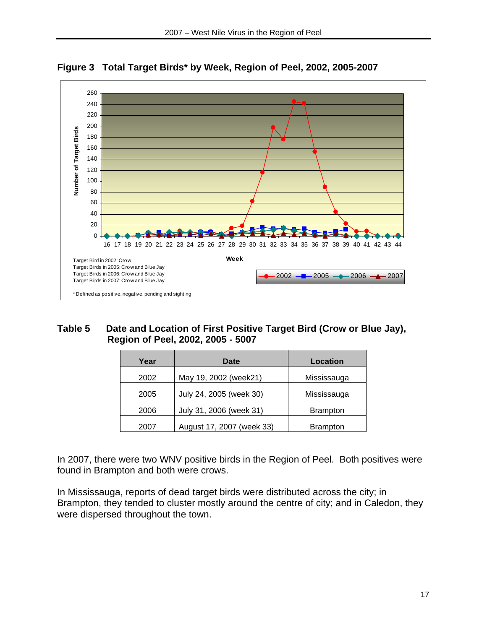

**Figure 3 Total Target Birds\* by Week, Region of Peel, 2002, 2005-2007** 

#### **Table 5 Date and Location of First Positive Target Bird (Crow or Blue Jay), Region of Peel, 2002, 2005 - 5007**

| Year | Date                      | Location        |
|------|---------------------------|-----------------|
| 2002 | May 19, 2002 (week21)     | Mississauga     |
| 2005 | July 24, 2005 (week 30)   | Mississauga     |
| 2006 | July 31, 2006 (week 31)   | <b>Brampton</b> |
| 2007 | August 17, 2007 (week 33) | <b>Brampton</b> |

In 2007, there were two WNV positive birds in the Region of Peel. Both positives were found in Brampton and both were crows.

In Mississauga, reports of dead target birds were distributed across the city; in Brampton, they tended to cluster mostly around the centre of city; and in Caledon, they were dispersed throughout the town.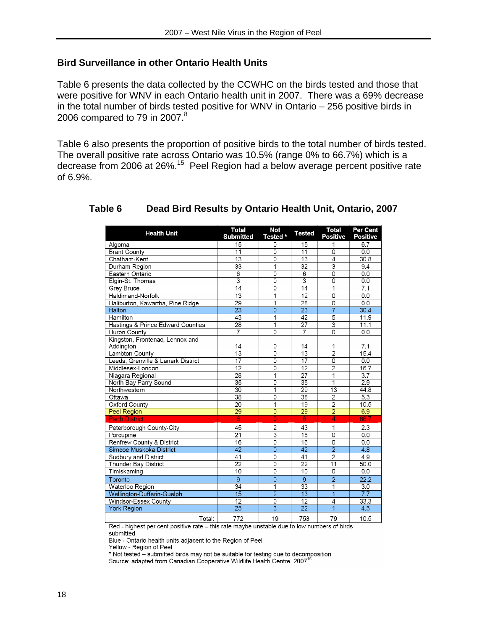#### **Bird Surveillance in other Ontario Health Units**

Table 6 presents the data collected by the CCWHC on the birds tested and those that were positive for WNV in each Ontario health unit in 2007. There was a 69% decrease in the total number of birds tested positive for WNV in Ontario – 256 positive birds in 2006 compared to 79 in 2007. $8$ 

Table 6 also presents the proportion of positive birds to the total number of birds tested. The overall positive rate across Ontario was 10.5% (range 0% to 66.7%) which is a decrease from 2006 at 26%.15 Peel Region had a below average percent positive rate of 6.9%.

| <b>Health Unit</b>                           | Total<br><b>Submitted</b> | Not<br>Tested * | <b>Tested</b>           | Total<br><b>Positive</b> | Per Cent<br><b>Positive</b> |
|----------------------------------------------|---------------------------|-----------------|-------------------------|--------------------------|-----------------------------|
| Algoma                                       | 15                        | 0               | 15                      |                          | 6.7                         |
| <b>Brant County</b>                          | 11                        | $\overline{0}$  | 11                      | $\overline{0}$           | 0.0                         |
| Chatham Kent                                 | $\overline{13}$           | $\overline{0}$  | $\overline{13}$         | $\overline{4}$           | 30.8                        |
| Durham Region                                | 33                        | 1               | 32                      | $\overline{\mathbf{3}}$  | 9.4                         |
| Eastern Ontario                              | 6                         | 0               | 6                       | 0                        | 0.0                         |
| Elgin-St. Thomas                             | $\overline{3}$            | $\overline{0}$  | $\overline{\mathbf{3}}$ | $\overline{0}$           | 0.0                         |
| Grey Bruce                                   | 14                        | 0               | 14                      | 1                        | 7.1                         |
| Haldimand-Norfolk                            | $\overline{13}$           | 1               | $\overline{12}$         | $\overline{0}$           | 0.0                         |
| Haliburton, Kawartha, Pine Ridge             | 29                        | $\overline{1}$  | 28                      | 0                        | 0.0                         |
| <b>Halton</b>                                | $\overline{23}$           | $\overline{0}$  | $\overline{23}$         | $\overline{7}$           | 30.4                        |
| Hamilton                                     | 43                        | $\overline{1}$  | 42                      | $\overline{5}$           | 11.9                        |
| Hastings & Prince Edward Counties            | 28                        | 1               | 27                      | 3                        | 11.1                        |
| Huron County                                 | $\overline{7}$            | 0               | $\overline{7}$          | 0                        | 0.0                         |
| Kingston, Frontenac, Lennox and<br>Addington | 14                        | 0               | 14                      | 1                        | 7.1                         |
| Lambton County                               | $\overline{13}$           | $\overline{0}$  | $\overline{13}$         | $\overline{2}$           | 15.4                        |
| Leeds, Grenville & Lanark District           | $\overline{17}$           | $\overline{0}$  | 17                      | $\overline{0}$           | 0.0                         |
| Middlesex-London                             | 12                        | 0               | 12                      | $\overline{2}$           | 16.7                        |
| Niagara Regional                             | 28                        | 1               | 27                      | 1                        | 3.7                         |
| North Bay Parry Sound                        | $\overline{35}$           | $\overline{0}$  | $\overline{35}$         | 1                        | 2.9                         |
| Northwestern                                 | $\overline{30}$           | $\overline{1}$  | $\overline{29}$         | $\overline{13}$          | 44.8                        |
| Ottawa                                       | 38                        | $\overline{0}$  | 38                      | $\overline{2}$           | 5.3                         |
| Oxford County                                | 20                        | 1               | 19                      | $\overline{2}$           | 10.5                        |
| <b>Peel Region</b>                           | 29                        | $\overline{0}$  | 29                      | $\overline{2}$           | 6.9                         |
| <b>Perth District</b>                        | $\overline{6}$            | $\overline{0}$  | $\overline{6}$          | $\overline{\mathcal{A}}$ | 66.7                        |
| Peterborough County-City                     | 45                        | $\overline{c}$  | 43                      | 1                        | 2.3                         |
| Porcupine                                    | 21                        | $\overline{3}$  | 18                      | $\overline{0}$           | 0.0                         |
| Renfrew County & District                    | 16                        | $\overline{0}$  | 16                      | $\overline{0}$           | 0.0                         |
| Simcoe Muskoka District                      | 42                        | $\overline{0}$  | 42                      | $\overline{2}$           | 4.8                         |
| Sudbury and District                         | 41                        | 0               | 41                      | $\overline{2}$           | 4.9                         |
| <b>Thunder Bay District</b>                  | $\overline{22}$           | $\overline{0}$  | $\overline{22}$         | $\overline{11}$          | 50.0                        |
| Timiskaming                                  | 10                        | $\overline{0}$  | 10                      | 0                        | 0.0                         |
| Toronto                                      | $\overline{9}$            | $\overline{0}$  | 9                       | $\overline{2}$           | 22.2                        |
| Waterloo Region                              | $\overline{34}$           | 1               | $\overline{33}$         | 1                        | 3.0                         |
| Wellington-Dufferin-Guelph                   | $\overline{15}$           | $\overline{2}$  | $\overline{13}$         | $\overline{1}$           | $\overline{7.7}$            |
| Windsor-Essex County                         | 12                        | 0               | 12                      | 4                        | 33.3                        |
| <b>York Region</b>                           | 25                        | $\overline{3}$  | 22                      | 1                        | 4.5                         |
| Total:                                       | 772                       | 19              | 753                     | 79                       | 10.5                        |

#### **Table 6 Dead Bird Results by Ontario Health Unit, Ontario, 2007**

Red - highest per cent positive rate - this rate maybe unstable due to low numbers of birds submitted

Blue - Ontario health units adjacent to the Region of Peel

Yellow - Region of Peel

\* Not tested - submitted birds may not be suitable for testing due to decomposition Source: adapted from Canadian Cooperative Wildlife Health Centre, 2007<sup>1</sup>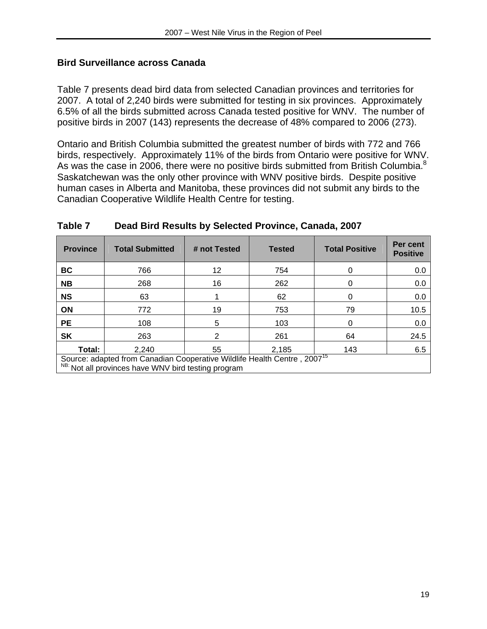#### **Bird Surveillance across Canada**

Table 7 presents dead bird data from selected Canadian provinces and territories for 2007. A total of 2,240 birds were submitted for testing in six provinces. Approximately 6.5% of all the birds submitted across Canada tested positive for WNV. The number of positive birds in 2007 (143) represents the decrease of 48% compared to 2006 (273).

Ontario and British Columbia submitted the greatest number of birds with 772 and 766 birds, respectively. Approximately 11% of the birds from Ontario were positive for WNV. As was the case in 2006, there were no positive birds submitted from British Columbia.<sup>8</sup> Saskatchewan was the only other province with WNV positive birds. Despite positive human cases in Alberta and Manitoba, these provinces did not submit any birds to the Canadian Cooperative Wildlife Health Centre for testing.

| <b>Province</b>                                                                                                                             | <b>Total Submitted</b> | # not Tested | <b>Tested</b> | <b>Total Positive</b> | Per cent<br><b>Positive</b> |
|---------------------------------------------------------------------------------------------------------------------------------------------|------------------------|--------------|---------------|-----------------------|-----------------------------|
| <b>BC</b>                                                                                                                                   | 766                    | 12           | 754           |                       | 0.0                         |
| <b>NB</b>                                                                                                                                   | 268                    | 16           | 262           |                       | 0.0                         |
| <b>NS</b>                                                                                                                                   | 63                     |              | 62            | 0                     | 0.0                         |
| <b>ON</b>                                                                                                                                   | 772                    | 19           | 753           | 79                    | 10.5                        |
| <b>PE</b>                                                                                                                                   | 108                    | 5            | 103           |                       | 0.0                         |
| <b>SK</b>                                                                                                                                   | 263                    | 2            | 261           | 64                    | 24.5                        |
| Total:                                                                                                                                      | 2,240                  | 55           | 2,185         | 143                   | 6.5                         |
| Source: adapted from Canadian Cooperative Wildlife Health Centre, 2007 <sup>15</sup><br>NB: Not all provinces have WNV bird testing program |                        |              |               |                       |                             |

#### **Table 7 Dead Bird Results by Selected Province, Canada, 2007**

NB: Not all provinces have WNV bird testing program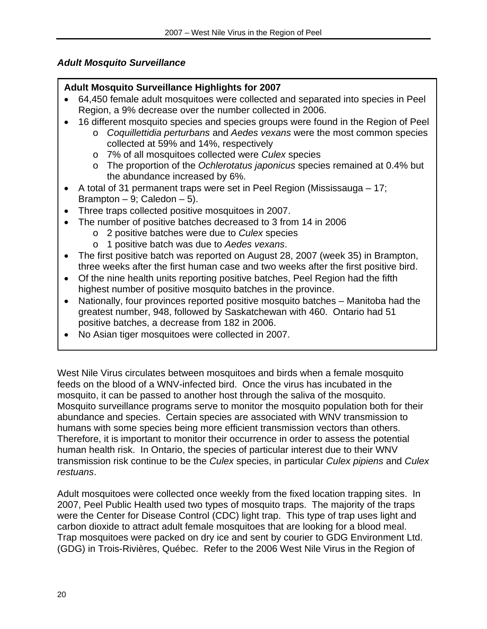# *Adult Mosquito Surveillance*

# **Adult Mosquito Surveillance Highlights for 2007**

- 64,450 female adult mosquitoes were collected and separated into species in Peel Region, a 9% decrease over the number collected in 2006.
- 16 different mosquito species and species groups were found in the Region of Peel
	- o *Coquillettidia perturbans* and *Aedes vexans* were the most common species collected at 59% and 14%, respectively
	- o 7% of all mosquitoes collected were *Culex* species
	- o The proportion of the *Ochlerotatus japonicus* species remained at 0.4% but the abundance increased by 6%.
- A total of 31 permanent traps were set in Peel Region (Mississauga 17; Brampton  $-9$ ; Caledon  $-5$ ).
- Three traps collected positive mosquitoes in 2007.
- The number of positive batches decreased to 3 from 14 in 2006
	- o 2 positive batches were due to *Culex* species
	- o 1 positive batch was due to *Aedes vexans*.
- The first positive batch was reported on August 28, 2007 (week 35) in Brampton, three weeks after the first human case and two weeks after the first positive bird.
- Of the nine health units reporting positive batches, Peel Region had the fifth highest number of positive mosquito batches in the province.
- Nationally, four provinces reported positive mosquito batches Manitoba had the greatest number, 948, followed by Saskatchewan with 460. Ontario had 51 positive batches, a decrease from 182 in 2006.
- No Asian tiger mosquitoes were collected in 2007.

West Nile Virus circulates between mosquitoes and birds when a female mosquito feeds on the blood of a WNV-infected bird. Once the virus has incubated in the mosquito, it can be passed to another host through the saliva of the mosquito. Mosquito surveillance programs serve to monitor the mosquito population both for their abundance and species. Certain species are associated with WNV transmission to humans with some species being more efficient transmission vectors than others. Therefore, it is important to monitor their occurrence in order to assess the potential human health risk. In Ontario, the species of particular interest due to their WNV transmission risk continue to be the *Culex* species, in particular *Culex pipiens* and *Culex restuans*.

Adult mosquitoes were collected once weekly from the fixed location trapping sites. In 2007, Peel Public Health used two types of mosquito traps. The majority of the traps were the Center for Disease Control (CDC) light trap. This type of trap uses light and carbon dioxide to attract adult female mosquitoes that are looking for a blood meal. Trap mosquitoes were packed on dry ice and sent by courier to GDG Environment Ltd. (GDG) in Trois-Rivières, Québec. Refer to the 2006 West Nile Virus in the Region of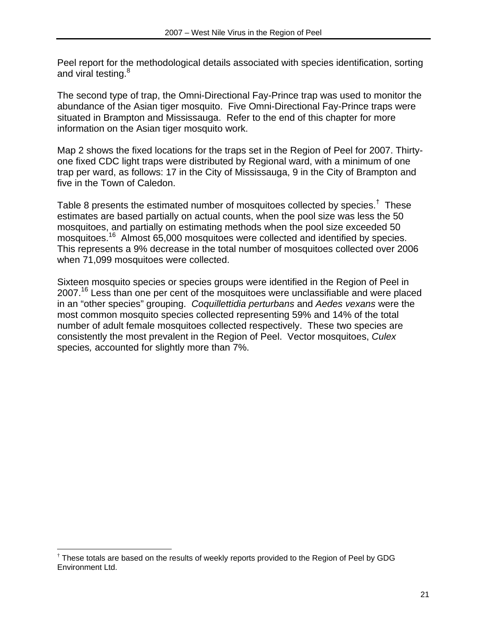Peel report for the methodological details associated with species identification, sorting and viral testing.<sup>8</sup>

The second type of trap, the Omni-Directional Fay-Prince trap was used to monitor the abundance of the Asian tiger mosquito. Five Omni-Directional Fay-Prince traps were situated in Brampton and Mississauga. Refer to the end of this chapter for more information on the Asian tiger mosquito work.

Map 2 shows the fixed locations for the traps set in the Region of Peel for 2007. Thirtyone fixed CDC light traps were distributed by Regional ward, with a minimum of one trap per ward, as follows: 17 in the City of Mississauga, 9 in the City of Brampton and five in the Town of Caledon.

Table 8 presents the estimated number of mosquitoes collected by species.<sup>†</sup> These estimates are based partially on actual counts, when the pool size was less the 50 mosquitoes, and partially on estimating methods when the pool size exceeded 50 mosquitoes.16 Almost 65,000 mosquitoes were collected and identified by species. This represents a 9% decrease in the total number of mosquitoes collected over 2006 when 71,099 mosquitoes were collected.

Sixteen mosquito species or species groups were identified in the Region of Peel in 2007.<sup>16</sup> Less than one per cent of the mosquitoes were unclassifiable and were placed in an "other species" grouping. *Coquillettidia perturbans* and *Aedes vexans* were the most common mosquito species collected representing 59% and 14% of the total number of adult female mosquitoes collected respectively. These two species are consistently the most prevalent in the Region of Peel. Vector mosquitoes, *Culex*  species*,* accounted for slightly more than 7%.

1

<sup>&</sup>lt;sup>†</sup> These totals are based on the results of weekly reports provided to the Region of Peel by GDG Environment Ltd.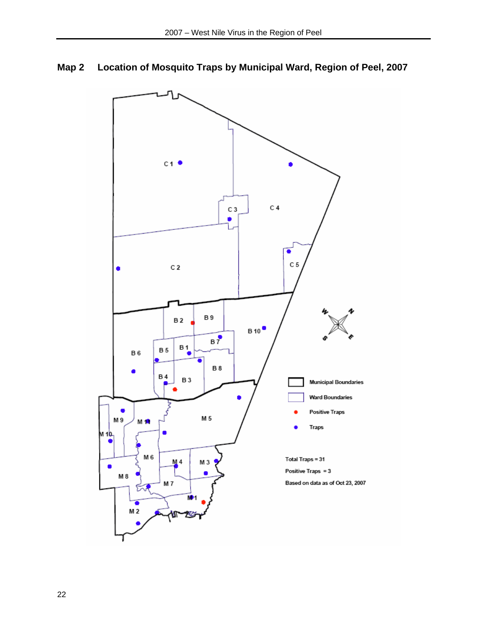

# **Map 2 Location of Mosquito Traps by Municipal Ward, Region of Peel, 2007**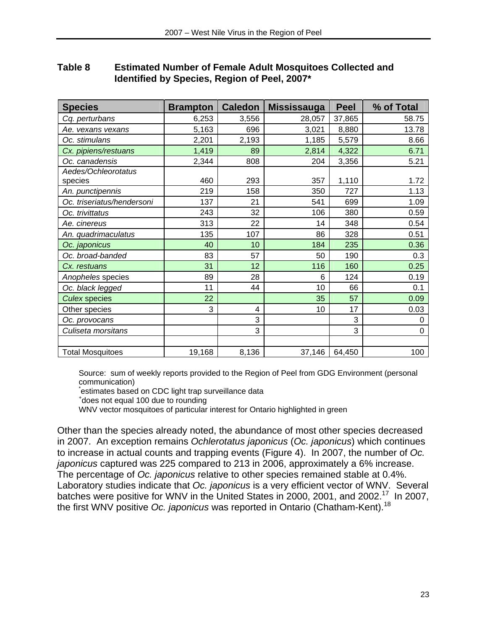| Table 8 | <b>Estimated Number of Female Adult Mosquitoes Collected and</b> |
|---------|------------------------------------------------------------------|
|         | Identified by Species, Region of Peel, 2007*                     |

| <b>Species</b>             | <b>Brampton</b> | <b>Caledon</b> | <b>Mississauga</b> | <b>Peel</b> | % of Total       |
|----------------------------|-----------------|----------------|--------------------|-------------|------------------|
| Cq. perturbans             | 6,253           | 3,556          | 28,057             | 37,865      | 58.75            |
| Ae. vexans vexans          | 5,163           | 696            | 3,021              | 8,880       | 13.78            |
| Oc. stimulans              | 2,201           | 2,193          | 1,185              | 5,579       | 8.66             |
| Cx. pipiens/restuans       | 1,419           | 89             | 2,814              | 4,322       | 6.71             |
| Oc. canadensis             | 2,344           | 808            | 204                | 3,356       | 5.21             |
| Aedes/Ochleorotatus        |                 |                |                    |             |                  |
| species                    | 460             | 293            | 357                | 1,110       | 1.72             |
| An. punctipennis           | 219             | 158            | 350                | 727         | 1.13             |
| Oc. triseriatus/hendersoni | 137             | 21             | 541                | 699         | 1.09             |
| Oc. trivittatus            | 243             | 32             | 106                | 380         | 0.59             |
| Ae. cinereus               | 313             | 22             | 14                 | 348         | 0.54             |
| An. quadrimaculatus        | 135             | 107            | 86                 | 328         | 0.51             |
| Oc. japonicus              | 40              | 10             | 184                | 235         | 0.36             |
| Oc. broad-banded           | 83              | 57             | 50                 | 190         | 0.3              |
| Cx. restuans               | 31              | 12             | 116                | 160         | 0.25             |
| Anopheles species          | 89              | 28             | 6                  | 124         | 0.19             |
| Oc. black legged           | 11              | 44             | 10                 | 66          | 0.1              |
| <b>Culex species</b>       | 22              |                | 35                 | 57          | 0.09             |
| Other species              | 3               | 4              | 10                 | 17          | 0.03             |
| Oc. provocans              |                 | 3              |                    | 3           | $\boldsymbol{0}$ |
| Culiseta morsitans         |                 | 3              |                    | 3           | 0                |
|                            |                 |                |                    |             |                  |
| <b>Total Mosquitoes</b>    | 19,168          | 8,136          | 37,146             | 64,450      | 100              |

Source: sum of weekly reports provided to the Region of Peel from GDG Environment (personal communication)

\*estimates based on CDC light trap surveillance data

WNV vector mosquitoes of particular interest for Ontario highlighted in green

Other than the species already noted, the abundance of most other species decreased in 2007. An exception remains *Ochlerotatus japonicus* (*Oc. japonicus*) which continues to increase in actual counts and trapping events (Figure 4). In 2007, the number of *Oc. japonicus* captured was 225 compared to 213 in 2006, approximately a 6% increase. The percentage of *Oc. japonicus* relative to other species remained stable at 0.4%. Laboratory studies indicate that *Oc. japonicus* is a very efficient vector of WNV. Several batches were positive for WNV in the United States in 2000, 2001, and 2002.<sup>17</sup> In 2007, the first WNV positive *Oc. japonicus* was reported in Ontario (Chatham-Kent).18

does not equal 100 due to rounding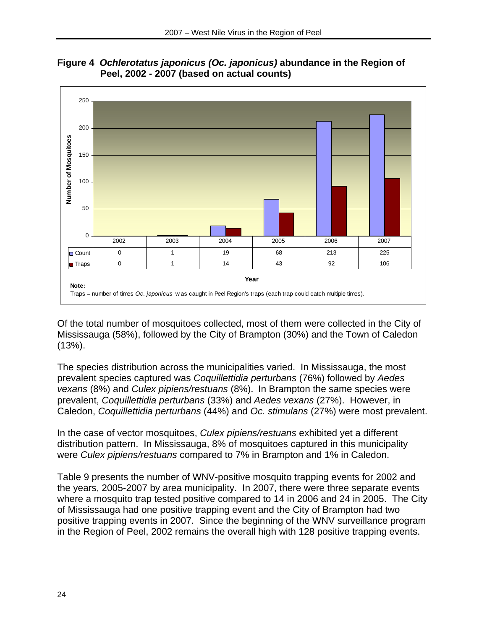

**Figure 4** *Ochlerotatus japonicus (Oc. japonicus)* **abundance in the Region of Peel, 2002 - 2007 (based on actual counts)** 

Of the total number of mosquitoes collected, most of them were collected in the City of Mississauga (58%), followed by the City of Brampton (30%) and the Town of Caledon (13%).

The species distribution across the municipalities varied. In Mississauga, the most prevalent species captured was *Coquillettidia perturbans* (76%) followed by *Aedes vexans* (8%) and *Culex pipiens/restuans* (8%). In Brampton the same species were prevalent, *Coquillettidia perturbans* (33%) and *Aedes vexans* (27%). However, in Caledon, *Coquillettidia perturbans* (44%) and *Oc. stimulans* (27%) were most prevalent.

In the case of vector mosquitoes, *Culex pipiens/restuans* exhibited yet a different distribution pattern. In Mississauga, 8% of mosquitoes captured in this municipality were *Culex pipiens/restuans* compared to 7% in Brampton and 1% in Caledon.

Table 9 presents the number of WNV-positive mosquito trapping events for 2002 and the years, 2005-2007 by area municipality. In 2007, there were three separate events where a mosquito trap tested positive compared to 14 in 2006 and 24 in 2005. The City of Mississauga had one positive trapping event and the City of Brampton had two positive trapping events in 2007. Since the beginning of the WNV surveillance program in the Region of Peel, 2002 remains the overall high with 128 positive trapping events.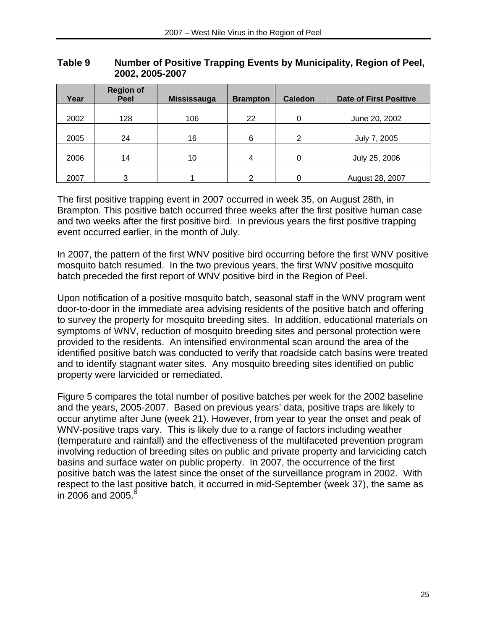| Year | <b>Region of</b><br>Peel | <b>Mississauga</b> | <b>Brampton</b> | <b>Caledon</b> | <b>Date of First Positive</b> |
|------|--------------------------|--------------------|-----------------|----------------|-------------------------------|
| 2002 | 128                      | 106                | 22              | 0              | June 20, 2002                 |
| 2005 | 24                       | 16                 | 6               | 2              | July 7, 2005                  |
| 2006 | 14                       | 10                 | $\overline{4}$  | 0              | July 25, 2006                 |
| 2007 | 3                        |                    | າ               | 0              | August 28, 2007               |

#### **Table 9 Number of Positive Trapping Events by Municipality, Region of Peel, 2002, 2005-2007**

The first positive trapping event in 2007 occurred in week 35, on August 28th, in Brampton. This positive batch occurred three weeks after the first positive human case and two weeks after the first positive bird. In previous years the first positive trapping event occurred earlier, in the month of July.

In 2007, the pattern of the first WNV positive bird occurring before the first WNV positive mosquito batch resumed. In the two previous years, the first WNV positive mosquito batch preceded the first report of WNV positive bird in the Region of Peel.

Upon notification of a positive mosquito batch, seasonal staff in the WNV program went door-to-door in the immediate area advising residents of the positive batch and offering to survey the property for mosquito breeding sites. In addition, educational materials on symptoms of WNV, reduction of mosquito breeding sites and personal protection were provided to the residents. An intensified environmental scan around the area of the identified positive batch was conducted to verify that roadside catch basins were treated and to identify stagnant water sites. Any mosquito breeding sites identified on public property were larvicided or remediated.

Figure 5 compares the total number of positive batches per week for the 2002 baseline and the years, 2005-2007. Based on previous years' data, positive traps are likely to occur anytime after June (week 21). However, from year to year the onset and peak of WNV-positive traps vary. This is likely due to a range of factors including weather (temperature and rainfall) and the effectiveness of the multifaceted prevention program involving reduction of breeding sites on public and private property and larviciding catch basins and surface water on public property. In 2007, the occurrence of the first positive batch was the latest since the onset of the surveillance program in 2002. With respect to the last positive batch, it occurred in mid-September (week 37), the same as in 2006 and 2005. $8$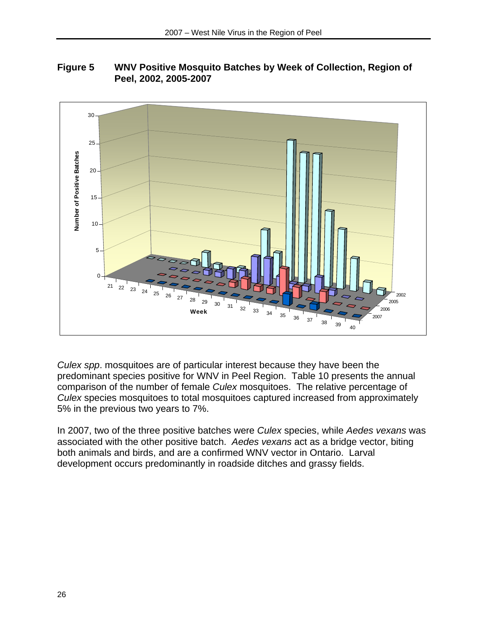



*Culex spp*. mosquitoes are of particular interest because they have been the predominant species positive for WNV in Peel Region. Table 10 presents the annual comparison of the number of female *Culex* mosquitoes. The relative percentage of *Culex* species mosquitoes to total mosquitoes captured increased from approximately 5% in the previous two years to 7%.

In 2007, two of the three positive batches were *Culex* species, while *Aedes vexans* was associated with the other positive batch. *Aedes vexans* act as a bridge vector, biting both animals and birds, and are a confirmed WNV vector in Ontario. Larval development occurs predominantly in roadside ditches and grassy fields.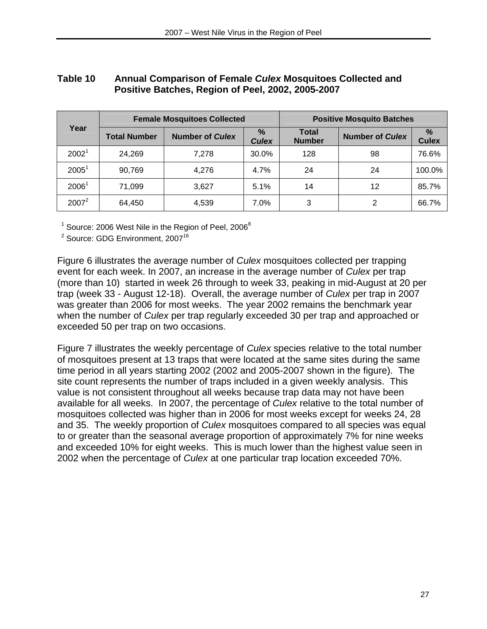# **Table 10 Annual Comparison of Female** *Culex* **Mosquitoes Collected and Positive Batches, Region of Peel, 2002, 2005-2007**

|                   |                     | <b>Female Mosquitoes Collected</b> | <b>Positive Mosquito Batches</b> |                               |                        |                   |
|-------------------|---------------------|------------------------------------|----------------------------------|-------------------------------|------------------------|-------------------|
| Year              | <b>Total Number</b> | <b>Number of Culex</b>             | $\%$<br><b>Culex</b>             | <b>Total</b><br><b>Number</b> | <b>Number of Culex</b> | %<br><b>Culex</b> |
| 2002 <sup>1</sup> | 24,269              | 7.278                              | 30.0%                            | 128                           | 98                     | 76.6%             |
| $2005^1$          | 90,769              | 4,276                              | 4.7%                             | 24                            | 24                     | 100.0%            |
| 2006 <sup>1</sup> | 71,099              | 3,627                              | 5.1%                             | 14                            | 12                     | 85.7%             |
| $2007^2$          | 64,450              | 4,539                              | 7.0%                             | 3                             | 2                      | 66.7%             |

 $^1$  Source: 2006 West Nile in the Region of Peel, 2006 $^8$ 

<sup>2</sup> Source: GDG Environment, 2007<sup>16</sup>

Figure 6 illustrates the average number of *Culex* mosquitoes collected per trapping event for each week. In 2007, an increase in the average number of *Culex* per trap (more than 10) started in week 26 through to week 33, peaking in mid-August at 20 per trap (week 33 - August 12-18). Overall, the average number of *Culex* per trap in 2007 was greater than 2006 for most weeks. The year 2002 remains the benchmark year when the number of *Culex* per trap regularly exceeded 30 per trap and approached or exceeded 50 per trap on two occasions.

Figure 7 illustrates the weekly percentage of *Culex* species relative to the total number of mosquitoes present at 13 traps that were located at the same sites during the same time period in all years starting 2002 (2002 and 2005-2007 shown in the figure). The site count represents the number of traps included in a given weekly analysis. This value is not consistent throughout all weeks because trap data may not have been available for all weeks. In 2007, the percentage of *Culex* relative to the total number of mosquitoes collected was higher than in 2006 for most weeks except for weeks 24, 28 and 35. The weekly proportion of *Culex* mosquitoes compared to all species was equal to or greater than the seasonal average proportion of approximately 7% for nine weeks and exceeded 10% for eight weeks. This is much lower than the highest value seen in 2002 when the percentage of *Culex* at one particular trap location exceeded 70%.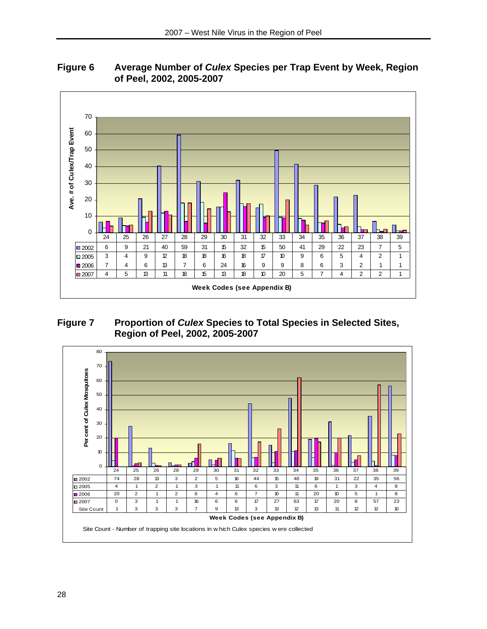

# **Figure 6 Average Number of** *Culex* **Species per Trap Event by Week, Region of Peel, 2002, 2005-2007**

#### **Figure 7 Proportion of** *Culex* **Species to Total Species in Selected Sites, Region of Peel, 2002, 2005-2007**

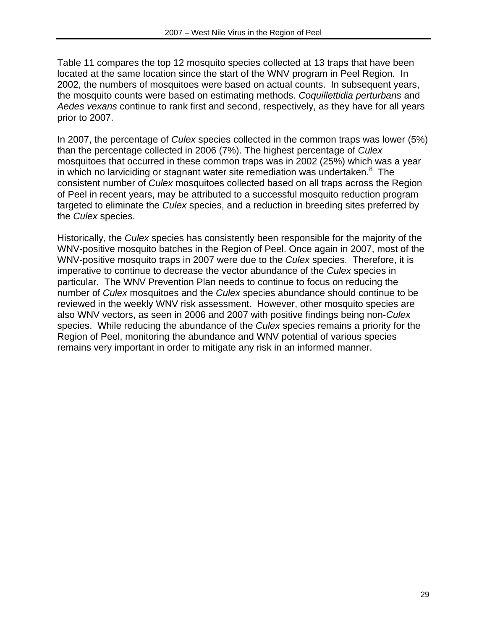Table 11 compares the top 12 mosquito species collected at 13 traps that have been located at the same location since the start of the WNV program in Peel Region. In 2002, the numbers of mosquitoes were based on actual counts. In subsequent years, the mosquito counts were based on estimating methods. *Coquillettidia perturbans* and *Aedes vexans* continue to rank first and second, respectively, as they have for all years prior to 2007.

In 2007, the percentage of *Culex* species collected in the common traps was lower (5%) than the percentage collected in 2006 (7%). The highest percentage of *Culex* mosquitoes that occurred in these common traps was in 2002 (25%) which was a year in which no larviciding or stagnant water site remediation was undertaken. $8$  The consistent number of *Culex* mosquitoes collected based on all traps across the Region of Peel in recent years, may be attributed to a successful mosquito reduction program targeted to eliminate the *Culex* species, and a reduction in breeding sites preferred by the *Culex* species.

Historically, the *Culex* species has consistently been responsible for the majority of the WNV-positive mosquito batches in the Region of Peel. Once again in 2007, most of the WNV-positive mosquito traps in 2007 were due to the *Culex* species. Therefore, it is imperative to continue to decrease the vector abundance of the *Culex* species in particular. The WNV Prevention Plan needs to continue to focus on reducing the number of *Culex* mosquitoes and the *Culex* species abundance should continue to be reviewed in the weekly WNV risk assessment. However, other mosquito species are also WNV vectors, as seen in 2006 and 2007 with positive findings being non-*Culex* species. While reducing the abundance of the *Culex* species remains a priority for the Region of Peel, monitoring the abundance and WNV potential of various species remains very important in order to mitigate any risk in an informed manner.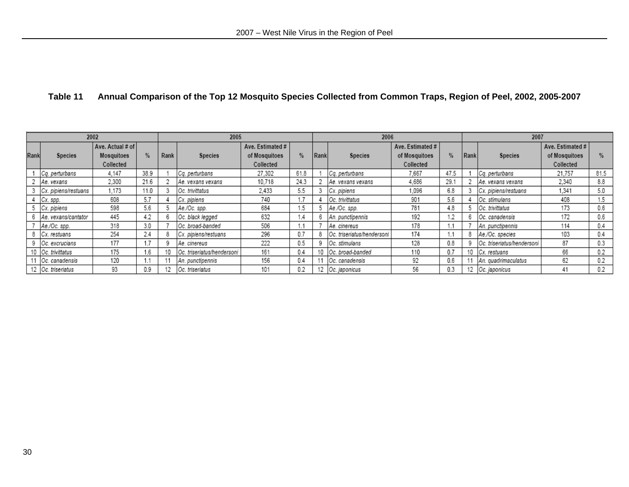# **Table 11 Annual Comparison of the Top 12 Mosquito Species Collected from Common Traps, Region of Peel, 2002, 2005-2007**

|      | 2002<br>2005         |                                             |      | 2007<br>2006 |                            |                                                |                 |      |                            |                                                |      |      |                            |                                                |      |
|------|----------------------|---------------------------------------------|------|--------------|----------------------------|------------------------------------------------|-----------------|------|----------------------------|------------------------------------------------|------|------|----------------------------|------------------------------------------------|------|
| Rank | <b>Species</b>       | Ave. Actual # of<br>Mosquitoes<br>Collected | %    | Rank         | <b>Species</b>             | Ave. Estimated #<br>of Mosquitoes<br>Collected | %               | Rank | <b>Species</b>             | Ave. Estimated #<br>of Mosquitoes<br>Collected | %    | Rank | <b>Species</b>             | Ave. Estimated #<br>of Mosquitoes<br>Collected | $\%$ |
|      | Cq. perturbans       | 4.147                                       | 38.9 |              | Cq. perturbans             | 27.302                                         | 61.8            |      | Cq. perturbans             | 7.667                                          | 47.5 |      | Cq. perturbans             | 21.757                                         | 81.5 |
|      | Ae. vexans           | 2.300                                       | 21.6 |              | Ae. vexans vexans          | 10,718                                         | 24.3            |      | Ae. vexans vexans          | 4,686                                          | 29.1 |      | Ae. vexans vexans          | 2,340                                          | 8.8  |
|      | Cx. pipiens/restuans | 1.173                                       | 11.0 |              | Oc. trivittatus            | 2,433                                          | 5.5             |      | Cx. pipiens                | 1,096                                          | 6.8  |      | Cx. pipiens/restuans       | 1.341                                          | 5.0  |
|      | Cx. spp.             | 608                                         | 5.7  |              | Cx. pipiens                | 740                                            |                 |      | Oc. trivittatus            | 901                                            | 5.6  |      | Oc. stimulans              | 408                                            | 1.5  |
|      | Cx. pipiens          | 598                                         | 5.6  |              | Ae./Oc. spp.               | 684                                            | .5              |      | Ae./Oc. spp.               | 781                                            | 4.8  |      | Oc. trivittatus            | 173                                            | 0.6  |
|      | Ae. vexans/cantator  | 445                                         | 4.2  |              | Oc. black legged           | 632                                            | $\overline{.4}$ |      | An. punctipennis           | 192                                            | 1.2  | 6    | Oc. canadensis             | 172                                            | 0.6  |
|      | Ae./Oc. spp.         | 318                                         | 3.0  |              | Oc. broad-banded           | 506                                            |                 |      | Ae, cinereus               | 178                                            |      |      | An. punctipennis           | 114                                            | 0.4  |
|      | Cx. restuans         | 254                                         | 2.4  |              | Cx. pipiens/restuans       | 296                                            | 0.7             |      | Oc. triseriatus/hendersoni | 174                                            | ۰.۱  |      | Ae./Oc. species            | 103                                            | 0.4  |
|      | Oc. excrucians       | 177                                         | 1.7  |              | Ae, cinereus               | 222                                            | 0.5             |      | Oc. stimulans              | 128                                            | 0.8  |      | Oc. triseriatus/hendersoni | 87                                             | 0.3  |
|      | Oc. trivittatus      | 175                                         | 1.6  |              | Oc. triseriatus/hendersoni | 161                                            | 0.4             |      | Oc. broad-banded           | 110                                            | 0.7  |      | Cx. restuans               | 66                                             | 0.2  |
|      | Oc. canadensis       | 120                                         | 1.1  |              | An. punctipennis           | 156                                            | 0.4             |      | Oc. canadensis             | 92                                             | 0.6  |      | An. quadrimaculatus        | 62                                             | 0.2  |
|      | 12 Oc. triseriatus   | 93                                          | 0.9  | 12           | Oc. triseriatus            | 101                                            | 0.2             |      | Oc. japonicus              | 56                                             | 0.3  |      | Oc. japonicus              | 41                                             | 0.2  |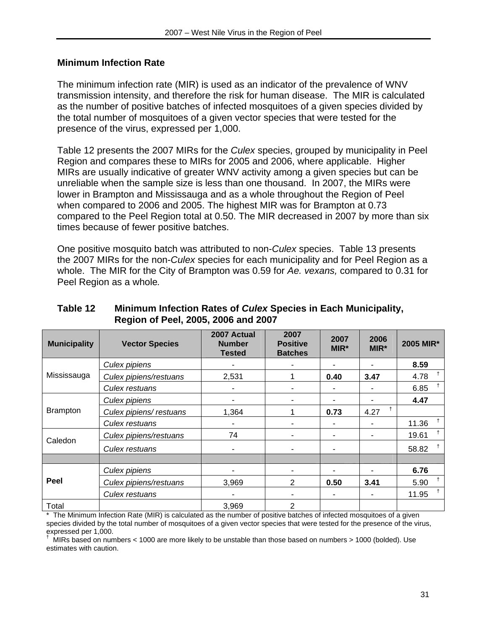#### **Minimum Infection Rate**

The minimum infection rate (MIR) is used as an indicator of the prevalence of WNV transmission intensity, and therefore the risk for human disease. The MIR is calculated as the number of positive batches of infected mosquitoes of a given species divided by the total number of mosquitoes of a given vector species that were tested for the presence of the virus, expressed per 1,000.

Table 12 presents the 2007 MIRs for the *Culex* species, grouped by municipality in Peel Region and compares these to MIRs for 2005 and 2006, where applicable. Higher MIRs are usually indicative of greater WNV activity among a given species but can be unreliable when the sample size is less than one thousand. In 2007, the MIRs were lower in Brampton and Mississauga and as a whole throughout the Region of Peel when compared to 2006 and 2005. The highest MIR was for Brampton at 0.73 compared to the Peel Region total at 0.50. The MIR decreased in 2007 by more than six times because of fewer positive batches.

One positive mosquito batch was attributed to non-*Culex* species. Table 13 presents the 2007 MIRs for the non-*Culex* species for each municipality and for Peel Region as a whole. The MIR for the City of Brampton was 0.59 for *Ae. vexans,* compared to 0.31 for Peel Region as a whole*.*

| <b>Municipality</b> | <b>Vector Species</b>   | 2007 Actual<br><b>Number</b><br><b>Tested</b> | 2007<br><b>Positive</b><br><b>Batches</b> | 2007<br>MIR* | 2006<br>MIR* | 2005 MIR*             |
|---------------------|-------------------------|-----------------------------------------------|-------------------------------------------|--------------|--------------|-----------------------|
|                     | Culex pipiens           |                                               |                                           | ۰            |              | 8.59                  |
| Mississauga         | Culex pipiens/restuans  | 2,531                                         |                                           | 0.40         | 3.47         | $^{\dagger}$<br>4.78  |
|                     | Culex restuans          |                                               | ٠                                         |              |              | 6.85                  |
|                     | Culex pipiens           |                                               | ٠                                         |              |              | 4.47                  |
| <b>Brampton</b>     | Culex pipiens/ restuans | 1,364                                         |                                           | 0.73         | 4.27         |                       |
|                     | Culex restuans          |                                               |                                           |              |              | $^{\dagger}$<br>11.36 |
| Caledon             | Culex pipiens/restuans  | 74                                            |                                           |              |              | $^+$<br>19.61         |
|                     | Culex restuans          |                                               | ۰                                         | ۰            |              | ŧ<br>58.82            |
|                     |                         |                                               |                                           |              |              |                       |
| Peel                | Culex pipiens           |                                               | ۰                                         |              |              | 6.76                  |
|                     | Culex pipiens/restuans  | 3,969                                         | 2                                         | 0.50         | 3.41         | $\ddagger$<br>5.90    |
|                     | Culex restuans          |                                               | ٠                                         |              |              | 11.95                 |
| Total               |                         | 3,969                                         | 2                                         |              |              |                       |

#### **Table 12 Minimum Infection Rates of** *Culex* **Species in Each Municipality, Region of Peel, 2005, 2006 and 2007**

\* The Minimum Infection Rate (MIR) is calculated as the number of positive batches of infected mosquitoes of a given species divided by the total number of mosquitoes of a given vector species that were tested for the presence of the virus, expressed per 1,000.<br>LAURe besed en num

 MIRs based on numbers < 1000 are more likely to be unstable than those based on numbers > 1000 (bolded). Use estimates with caution.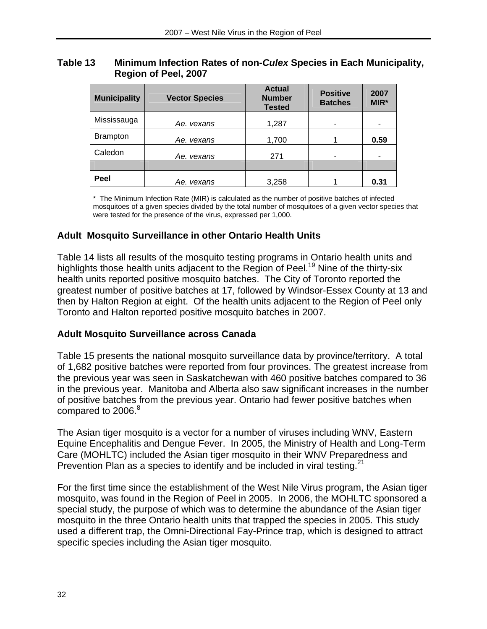#### **Table 13 Minimum Infection Rates of non-***Culex* **Species in Each Municipality, Region of Peel, 2007**

| <b>Municipality</b> | <b>Vector Species</b> | <b>Actual</b><br><b>Number</b><br><b>Tested</b> | <b>Positive</b><br><b>Batches</b> | 2007<br>MIR* |
|---------------------|-----------------------|-------------------------------------------------|-----------------------------------|--------------|
| Mississauga         | Ae. vexans            | 1,287                                           |                                   | ۰            |
| <b>Brampton</b>     | Ae. vexans            | 1,700                                           |                                   | 0.59         |
| Caledon             | Ae. vexans            | 271                                             |                                   | ۰            |
|                     |                       |                                                 |                                   |              |
| Peel                | Ae. vexans            | 3,258                                           |                                   | 0.31         |

\* The Minimum Infection Rate (MIR) is calculated as the number of positive batches of infected mosquitoes of a given species divided by the total number of mosquitoes of a given vector species that were tested for the presence of the virus, expressed per 1,000.

# **Adult Mosquito Surveillance in other Ontario Health Units**

Table 14 lists all results of the mosquito testing programs in Ontario health units and highlights those health units adjacent to the Region of Peel.<sup>19</sup> Nine of the thirty-six health units reported positive mosquito batches. The City of Toronto reported the greatest number of positive batches at 17, followed by Windsor-Essex County at 13 and then by Halton Region at eight. Of the health units adjacent to the Region of Peel only Toronto and Halton reported positive mosquito batches in 2007.

# **Adult Mosquito Surveillance across Canada**

Table 15 presents the national mosquito surveillance data by province/territory. A total of 1,682 positive batches were reported from four provinces. The greatest increase from the previous year was seen in Saskatchewan with 460 positive batches compared to 36 in the previous year. Manitoba and Alberta also saw significant increases in the number of positive batches from the previous year. Ontario had fewer positive batches when compared to 2006.<sup>8</sup>

The Asian tiger mosquito is a vector for a number of viruses including WNV, Eastern Equine Encephalitis and Dengue Fever. In 2005, the Ministry of Health and Long-Term Care (MOHLTC) included the Asian tiger mosquito in their WNV Preparedness and Prevention Plan as a species to identify and be included in viral testing.<sup>21</sup>

For the first time since the establishment of the West Nile Virus program, the Asian tiger mosquito, was found in the Region of Peel in 2005. In 2006, the MOHLTC sponsored a special study, the purpose of which was to determine the abundance of the Asian tiger mosquito in the three Ontario health units that trapped the species in 2005. This study used a different trap, the Omni-Directional Fay-Prince trap, which is designed to attract specific species including the Asian tiger mosquito.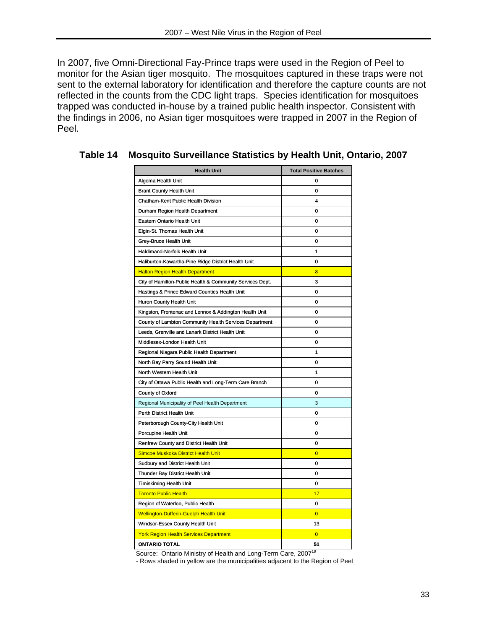In 2007, five Omni-Directional Fay-Prince traps were used in the Region of Peel to monitor for the Asian tiger mosquito. The mosquitoes captured in these traps were not sent to the external laboratory for identification and therefore the capture counts are not reflected in the counts from the CDC light traps. Species identification for mosquitoes trapped was conducted in-house by a trained public health inspector. Consistent with the findings in 2006, no Asian tiger mosquitoes were trapped in 2007 in the Region of Peel.

| <b>Health Unit</b>                                        | <b>Total Positive Batches</b> |
|-----------------------------------------------------------|-------------------------------|
| Algoma Health Unit                                        | 0                             |
| <b>Brant County Health Unit</b>                           | 0                             |
| Chatham-Kent Public Health Division                       | 4                             |
| Durham Region Health Department                           | 0                             |
| Eastern Ontario Health Unit                               | 0                             |
| Elgin-St. Thomas Health Unit                              | 0                             |
| Grey-Bruce Health Unit                                    | 0                             |
| Haldimand-Norfolk Health Unit                             | 1                             |
| Haliburton-Kawartha-Pine Ridge District Health Unit       | 0                             |
| <b>Halton Region Health Department</b>                    | 8                             |
| City of Hamilton-Public Health & Community Services Dept. | 3                             |
| Hastings & Prince Edward Counties Health Unit             | 0                             |
| Huron County Health Unit                                  | 0                             |
| Kingston, Frontenac and Lennox & Addington Health Unit    | 0                             |
| County of Lambton Community Health Services Department    | 0                             |
| Leeds, Grenville and Lanark District Health Unit          | 0                             |
| Middlesex-London Health Unit                              | 0                             |
| Regional Niagara Public Health Department                 | 1                             |
| North Bay Parry Sound Health Unit                         | 0                             |
| North Western Health Unit                                 | 1                             |
| City of Ottawa Public Health and Long-Term Care Branch    | 0                             |
| County of Oxford                                          | 0                             |
| Regional Municipality of Peel Health Department           | 3                             |
| Perth District Health Unit                                | 0                             |
| Peterborough County-City Health Unit                      | 0                             |
| Porcupine Health Unit                                     | 0                             |
| Renfrew County and District Health Unit                   | 0                             |
| <b>Simcoe Muskoka District Health Unit</b>                | $\overline{0}$                |
| Sudbury and District Health Unit                          | 0                             |
| Thunder Bay District Health Unit                          | 0                             |
| <b>Timiskiming Health Unit</b>                            | 0                             |
| <b>Toronto Public Health</b>                              | 17                            |
| Region of Waterloo, Public Health                         | 0                             |
| <b>Wellington-Dufferin-Guelph Health Unit</b>             | $\overline{0}$                |
| Windsor-Essex County Health Unit                          | 13                            |
| <b>York Region Health Services Department</b>             | $\overline{0}$                |
| <b>ONTARIO TOTAL</b>                                      | 51                            |

#### **Table 14 Mosquito Surveillance Statistics by Health Unit, Ontario, 2007**

Source: Ontario Ministry of Health and Long-Term Care, 2007<sup>19</sup>

- Rows shaded in yellow are the municipalities adjacent to the Region of Peel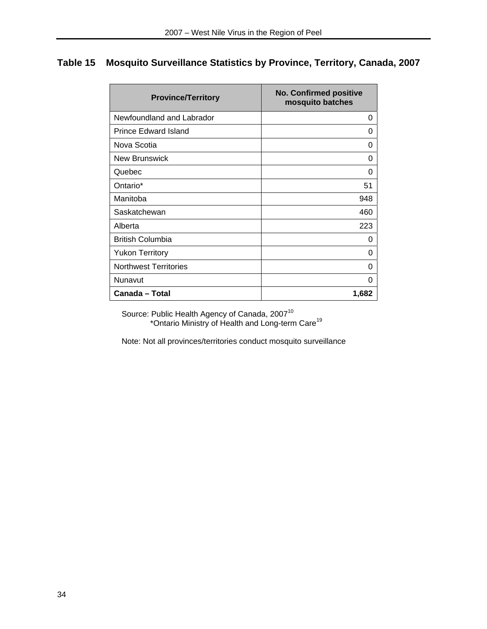# **Table 15 Mosquito Surveillance Statistics by Province, Territory, Canada, 2007**

| <b>Province/Territory</b>    | <b>No. Confirmed positive</b><br>mosquito batches |
|------------------------------|---------------------------------------------------|
| Newfoundland and Labrador    | 0                                                 |
| <b>Prince Edward Island</b>  | 0                                                 |
| Nova Scotia                  | 0                                                 |
| <b>New Brunswick</b>         | O                                                 |
| Quebec                       | 0                                                 |
| Ontario*                     | 51                                                |
| Manitoba                     | 948                                               |
| Saskatchewan                 | 460                                               |
| Alberta                      | 223                                               |
| <b>British Columbia</b>      | 0                                                 |
| <b>Yukon Territory</b>       | 0                                                 |
| <b>Northwest Territories</b> | 0                                                 |
| Nunavut                      | 0                                                 |
| Canada - Total               | 1,682                                             |

Source: Public Health Agency of Canada, 2007<sup>10</sup> \*Ontario Ministry of Health and Long-term Care<sup>19</sup>

Note: Not all provinces/territories conduct mosquito surveillance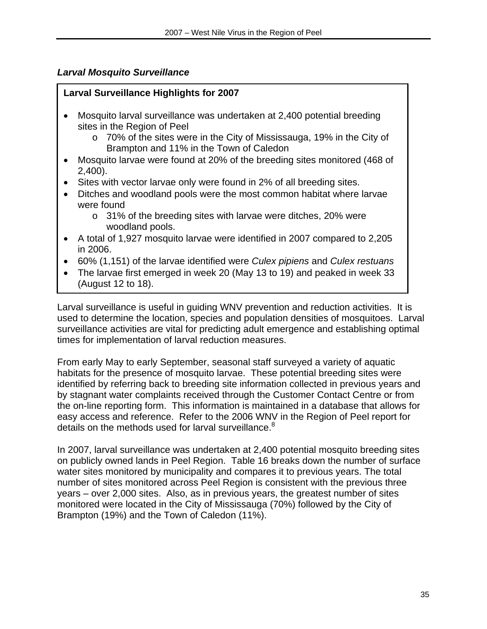### *Larval Mosquito Surveillance*

#### **Larval Surveillance Highlights for 2007**

- Mosquito larval surveillance was undertaken at 2,400 potential breeding sites in the Region of Peel
	- o 70% of the sites were in the City of Mississauga, 19% in the City of Brampton and 11% in the Town of Caledon
- Mosquito larvae were found at 20% of the breeding sites monitored (468 of 2,400).
- Sites with vector larvae only were found in 2% of all breeding sites.
- Ditches and woodland pools were the most common habitat where larvae were found
	- o 31% of the breeding sites with larvae were ditches, 20% were woodland pools.
- A total of 1,927 mosquito larvae were identified in 2007 compared to 2,205 in 2006.
- 60% (1,151) of the larvae identified were *Culex pipiens* and *Culex restuans*
- The larvae first emerged in week 20 (May 13 to 19) and peaked in week 33 (August 12 to 18).

Larval surveillance is useful in guiding WNV prevention and reduction activities. It is used to determine the location, species and population densities of mosquitoes. Larval surveillance activities are vital for predicting adult emergence and establishing optimal times for implementation of larval reduction measures.

From early May to early September, seasonal staff surveyed a variety of aquatic habitats for the presence of mosquito larvae. These potential breeding sites were identified by referring back to breeding site information collected in previous years and by stagnant water complaints received through the Customer Contact Centre or from the on-line reporting form. This information is maintained in a database that allows for easy access and reference. Refer to the 2006 WNV in the Region of Peel report for details on the methods used for larval surveillance.<sup>8</sup>

In 2007, larval surveillance was undertaken at 2,400 potential mosquito breeding sites on publicly owned lands in Peel Region. Table 16 breaks down the number of surface water sites monitored by municipality and compares it to previous years. The total number of sites monitored across Peel Region is consistent with the previous three years – over 2,000 sites. Also, as in previous years, the greatest number of sites monitored were located in the City of Mississauga (70%) followed by the City of Brampton (19%) and the Town of Caledon (11%).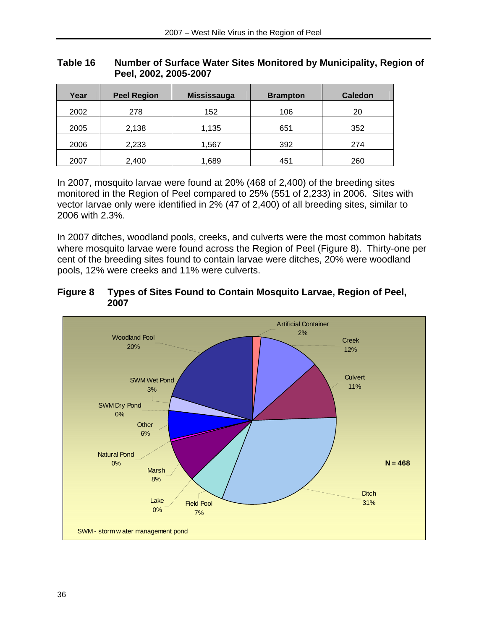| Year | <b>Peel Region</b> | <b>Mississauga</b> | <b>Brampton</b> | <b>Caledon</b> |
|------|--------------------|--------------------|-----------------|----------------|
| 2002 | 278                | 152                | 106             | 20             |
| 2005 | 2,138              | 1,135              | 651             | 352            |
| 2006 | 2,233              | 1,567              | 392             | 274            |
| 2007 | 2,400              | 1,689              | 451             | 260            |

#### **Table 16 Number of Surface Water Sites Monitored by Municipality, Region of Peel, 2002, 2005-2007**

In 2007, mosquito larvae were found at 20% (468 of 2,400) of the breeding sites monitored in the Region of Peel compared to 25% (551 of 2,233) in 2006. Sites with vector larvae only were identified in 2% (47 of 2,400) of all breeding sites, similar to 2006 with 2.3%.

In 2007 ditches, woodland pools, creeks, and culverts were the most common habitats where mosquito larvae were found across the Region of Peel (Figure 8). Thirty-one per cent of the breeding sites found to contain larvae were ditches, 20% were woodland pools, 12% were creeks and 11% were culverts.

#### **Figure 8 Types of Sites Found to Contain Mosquito Larvae, Region of Peel, 2007**

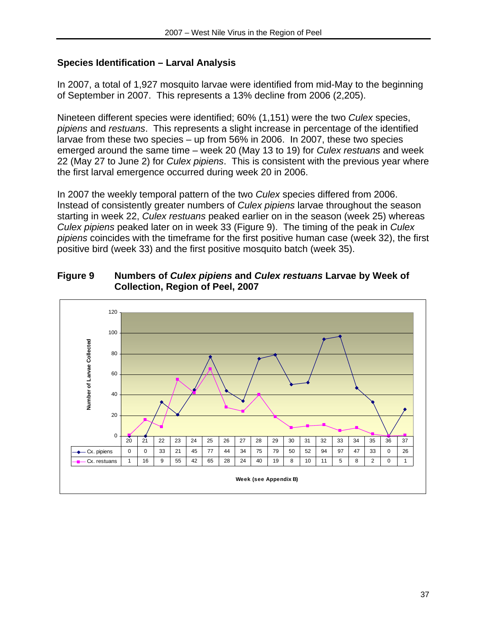# **Species Identification – Larval Analysis**

In 2007, a total of 1,927 mosquito larvae were identified from mid-May to the beginning of September in 2007. This represents a 13% decline from 2006 (2,205).

Nineteen different species were identified; 60% (1,151) were the two *Culex* species, *pipiens* and *restuans*. This represents a slight increase in percentage of the identified larvae from these two species – up from 56% in 2006. In 2007, these two species emerged around the same time – week 20 (May 13 to 19) for *Culex restuans* and week 22 (May 27 to June 2) for *Culex pipiens*. This is consistent with the previous year where the first larval emergence occurred during week 20 in 2006.

In 2007 the weekly temporal pattern of the two *Culex* species differed from 2006. Instead of consistently greater numbers of *Culex pipiens* larvae throughout the season starting in week 22, *Culex restuans* peaked earlier on in the season (week 25) whereas *Culex pipiens* peaked later on in week 33 (Figure 9). The timing of the peak in *Culex pipiens* coincides with the timeframe for the first positive human case (week 32), the first positive bird (week 33) and the first positive mosquito batch (week 35).



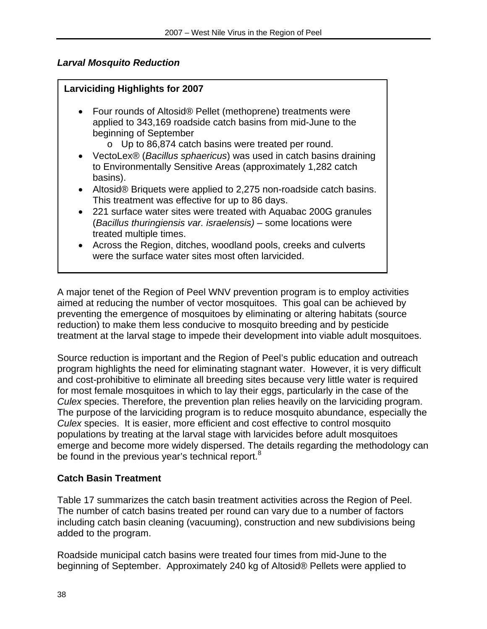# *Larval Mosquito Reduction*

# **Larviciding Highlights for 2007**

- Four rounds of Altosid® Pellet (methoprene) treatments were applied to 343,169 roadside catch basins from mid-June to the beginning of September
	- o Up to 86,874 catch basins were treated per round.
- VectoLex® (*Bacillus sphaericus*) was used in catch basins draining to Environmentally Sensitive Areas (approximately 1,282 catch basins).
- Altosid® Briquets were applied to 2,275 non-roadside catch basins. This treatment was effective for up to 86 days.
- 221 surface water sites were treated with Aquabac 200G granules (*Bacillus thuringiensis var. israelensis)* – some locations were treated multiple times.
- Across the Region, ditches, woodland pools, creeks and culverts were the surface water sites most often larvicided.

A major tenet of the Region of Peel WNV prevention program is to employ activities aimed at reducing the number of vector mosquitoes. This goal can be achieved by preventing the emergence of mosquitoes by eliminating or altering habitats (source reduction) to make them less conducive to mosquito breeding and by pesticide treatment at the larval stage to impede their development into viable adult mosquitoes.

Source reduction is important and the Region of Peel's public education and outreach program highlights the need for eliminating stagnant water. However, it is very difficult and cost-prohibitive to eliminate all breeding sites because very little water is required for most female mosquitoes in which to lay their eggs, particularly in the case of the *Culex* species. Therefore, the prevention plan relies heavily on the larviciding program. The purpose of the larviciding program is to reduce mosquito abundance, especially the *Culex* species. It is easier, more efficient and cost effective to control mosquito populations by treating at the larval stage with larvicides before adult mosquitoes emerge and become more widely dispersed. The details regarding the methodology can be found in the previous year's technical report.<sup>8</sup>

# **Catch Basin Treatment**

Table 17 summarizes the catch basin treatment activities across the Region of Peel. The number of catch basins treated per round can vary due to a number of factors including catch basin cleaning (vacuuming), construction and new subdivisions being added to the program.

Roadside municipal catch basins were treated four times from mid-June to the beginning of September. Approximately 240 kg of Altosid® Pellets were applied to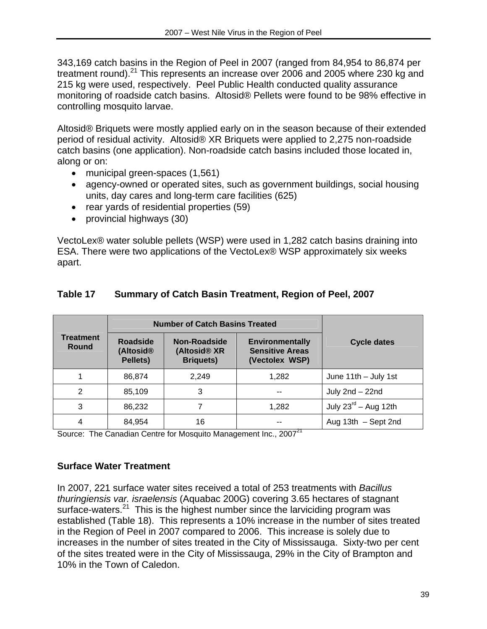343,169 catch basins in the Region of Peel in 2007 (ranged from 84,954 to 86,874 per treatment round).<sup>21</sup> This represents an increase over 2006 and 2005 where 230 kg and 215 kg were used, respectively. Peel Public Health conducted quality assurance monitoring of roadside catch basins. Altosid® Pellets were found to be 98% effective in controlling mosquito larvae.

Altosid® Briquets were mostly applied early on in the season because of their extended period of residual activity. Altosid® XR Briquets were applied to 2,275 non-roadside catch basins (one application). Non-roadside catch basins included those located in, along or on:

- municipal green-spaces (1,561)
- agency-owned or operated sites, such as government buildings, social housing units, day cares and long-term care facilities (625)
- rear yards of residential properties (59)
- provincial highways (30)

VectoLex® water soluble pellets (WSP) were used in 1,282 catch basins draining into ESA. There were two applications of the VectoLex® WSP approximately six weeks apart.

|                           |                                                      | <b>Number of Catch Basins Treated</b>                               |                                                                    |                                  |
|---------------------------|------------------------------------------------------|---------------------------------------------------------------------|--------------------------------------------------------------------|----------------------------------|
| <b>Treatment</b><br>Round | <b>Roadside</b><br>(Altosid <sup>®</sup><br>Pellets) | <b>Non-Roadside</b><br>(Altosid <sup>®</sup> XR<br><b>Briquets)</b> | <b>Environmentally</b><br><b>Sensitive Areas</b><br>(Vectolex WSP) | <b>Cycle dates</b>               |
|                           | 86,874                                               | 2.249                                                               | 1,282                                                              | June 11th - July 1st             |
| 2                         | 85,109                                               | 3                                                                   |                                                                    | July 2nd - 22nd                  |
| 3                         | 86,232                                               |                                                                     | 1,282                                                              | July $23^{\text{rd}}$ – Aug 12th |
| 4                         | 84,954                                               | 16                                                                  |                                                                    | Aug $13th$ - Sept 2nd            |

#### **Table 17 Summary of Catch Basin Treatment, Region of Peel, 2007**

Source: The Canadian Centre for Mosquito Management Inc., 2007<sup>21</sup>

#### **Surface Water Treatment**

In 2007, 221 surface water sites received a total of 253 treatments with *Bacillus thuringiensis var. israelensis* (Aquabac 200G) covering 3.65 hectares of stagnant surface-waters. $21$  This is the highest number since the larviciding program was established (Table 18). This represents a 10% increase in the number of sites treated in the Region of Peel in 2007 compared to 2006. This increase is solely due to increases in the number of sites treated in the City of Mississauga. Sixty-two per cent of the sites treated were in the City of Mississauga, 29% in the City of Brampton and 10% in the Town of Caledon.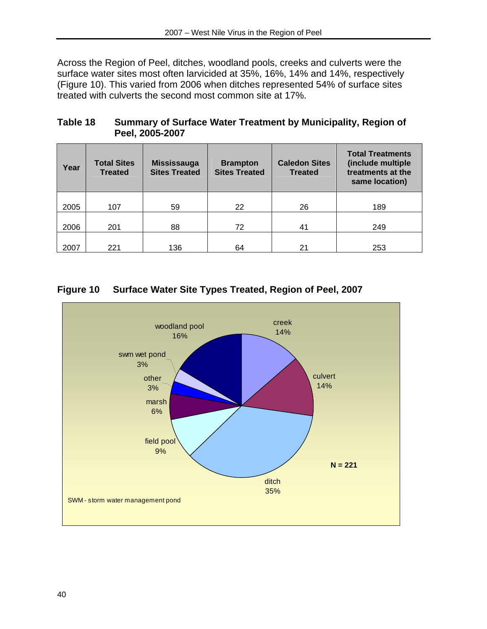Across the Region of Peel, ditches, woodland pools, creeks and culverts were the surface water sites most often larvicided at 35%, 16%, 14% and 14%, respectively (Figure 10). This varied from 2006 when ditches represented 54% of surface sites treated with culverts the second most common site at 17%.

#### **Table 18 Summary of Surface Water Treatment by Municipality, Region of Peel, 2005-2007**

| Year | <b>Total Sites</b><br><b>Treated</b> | <b>Mississauga</b><br><b>Sites Treated</b> | <b>Brampton</b><br><b>Sites Treated</b> | <b>Caledon Sites</b><br><b>Treated</b> | <b>Total Treatments</b><br>(include multiple<br>treatments at the<br>same location) |
|------|--------------------------------------|--------------------------------------------|-----------------------------------------|----------------------------------------|-------------------------------------------------------------------------------------|
| 2005 | 107                                  | 59                                         | 22                                      | 26                                     | 189                                                                                 |
| 2006 | 201                                  | 88                                         | 72                                      | 41                                     | 249                                                                                 |
| 2007 | 221                                  | 136                                        | 64                                      | 21                                     | 253                                                                                 |

# **Figure 10 Surface Water Site Types Treated, Region of Peel, 2007**

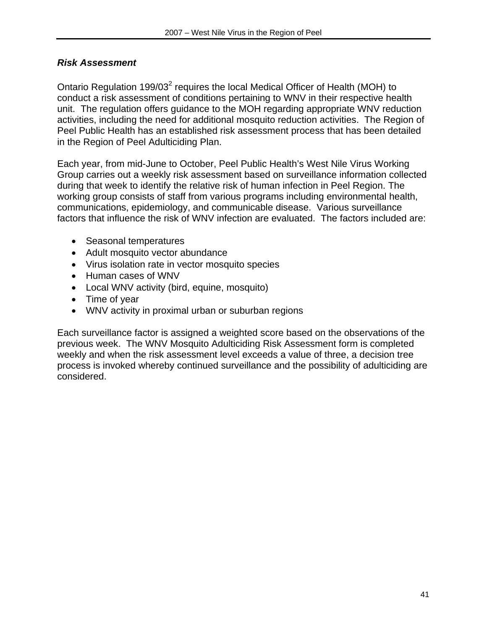#### *Risk Assessment*

Ontario Regulation 199/03<sup>2</sup> requires the local Medical Officer of Health (MOH) to conduct a risk assessment of conditions pertaining to WNV in their respective health unit. The regulation offers guidance to the MOH regarding appropriate WNV reduction activities, including the need for additional mosquito reduction activities. The Region of Peel Public Health has an established risk assessment process that has been detailed in the Region of Peel Adulticiding Plan.

Each year, from mid-June to October, Peel Public Health's West Nile Virus Working Group carries out a weekly risk assessment based on surveillance information collected during that week to identify the relative risk of human infection in Peel Region. The working group consists of staff from various programs including environmental health, communications, epidemiology, and communicable disease. Various surveillance factors that influence the risk of WNV infection are evaluated. The factors included are:

- Seasonal temperatures
- Adult mosquito vector abundance
- Virus isolation rate in vector mosquito species
- Human cases of WNV
- Local WNV activity (bird, equine, mosquito)
- Time of year
- WNV activity in proximal urban or suburban regions

Each surveillance factor is assigned a weighted score based on the observations of the previous week. The WNV Mosquito Adulticiding Risk Assessment form is completed weekly and when the risk assessment level exceeds a value of three, a decision tree process is invoked whereby continued surveillance and the possibility of adulticiding are considered.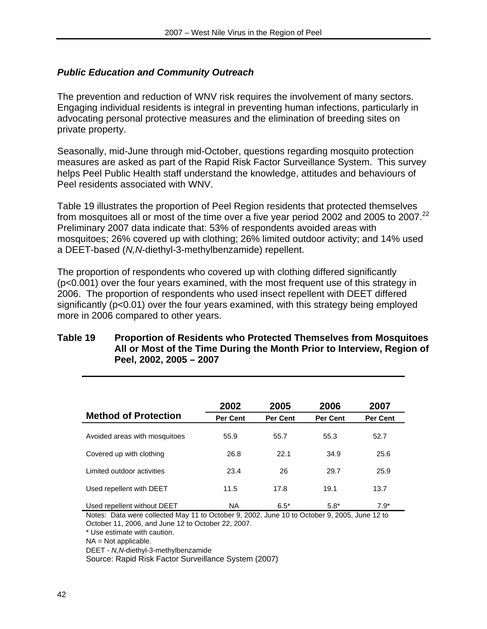# *Public Education and Community Outreach*

The prevention and reduction of WNV risk requires the involvement of many sectors. Engaging individual residents is integral in preventing human infections, particularly in advocating personal protective measures and the elimination of breeding sites on private property.

Seasonally, mid-June through mid-October, questions regarding mosquito protection measures are asked as part of the Rapid Risk Factor Surveillance System. This survey helps Peel Public Health staff understand the knowledge, attitudes and behaviours of Peel residents associated with WNV.

Table 19 illustrates the proportion of Peel Region residents that protected themselves from mosquitoes all or most of the time over a five year period 2002 and 2005 to 2007.<sup>22</sup> Preliminary 2007 data indicate that: 53% of respondents avoided areas with mosquitoes; 26% covered up with clothing; 26% limited outdoor activity; and 14% used a DEET-based (*N,N*-diethyl-3-methylbenzamide) repellent.

The proportion of respondents who covered up with clothing differed significantly (p<0.001) over the four years examined, with the most frequent use of this strategy in 2006. The proportion of respondents who used insect repellent with DEET differed significantly (p<0.01) over the four years examined, with this strategy being employed more in 2006 compared to other years.

#### **Table 19 Proportion of Residents who Protected Themselves from Mosquitoes All or Most of the Time During the Month Prior to Interview, Region of Peel, 2002, 2005 – 2007**

| <b>Method of Protection</b>   | 2002<br><b>Per Cent</b> | 2005<br><b>Per Cent</b> | 2006<br><b>Per Cent</b> | 2007<br>Per Cent |
|-------------------------------|-------------------------|-------------------------|-------------------------|------------------|
|                               |                         |                         |                         |                  |
| Avoided areas with mosquitoes | 55.9                    | 55.7                    | 55.3                    | 52.7             |
| Covered up with clothing      | 26.8                    | 22.1                    | 34.9                    | 25.6             |
| Limited outdoor activities    | 23.4                    | 26                      | 29.7                    | 25.9             |
| Used repellent with DEET      | 11.5                    | 17.8                    | 19.1                    | 13.7             |
| Used repellent without DEET   | <b>NA</b>               | $6.5*$                  | $5.8*$                  | $7.9*$           |

Notes: Data were collected May 11 to October 9, 2002, June 10 to October 9, 2005, June 12 to October 11, 2006, and June 12 to October 22, 2007.

\* Use estimate with caution.

 $NA = Not$  applicable.

DEET - *N,N*-diethyl-3-methylbenzamide

Source: Rapid Risk Factor Surveillance System (2007)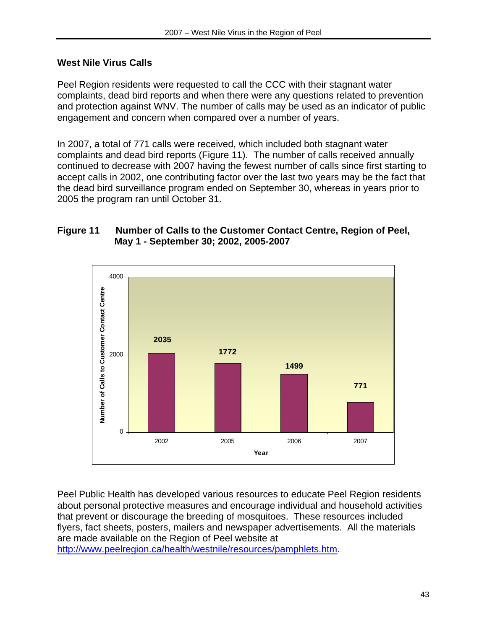### **West Nile Virus Calls**

Peel Region residents were requested to call the CCC with their stagnant water complaints, dead bird reports and when there were any questions related to prevention and protection against WNV. The number of calls may be used as an indicator of public engagement and concern when compared over a number of years.

In 2007, a total of 771 calls were received, which included both stagnant water complaints and dead bird reports (Figure 11). The number of calls received annually continued to decrease with 2007 having the fewest number of calls since first starting to accept calls in 2002, one contributing factor over the last two years may be the fact that the dead bird surveillance program ended on September 30, whereas in years prior to 2005 the program ran until October 31.

#### **Figure 11 Number of Calls to the Customer Contact Centre, Region of Peel, May 1 - September 30; 2002, 2005-2007**



Peel Public Health has developed various resources to educate Peel Region residents about personal protective measures and encourage individual and household activities that prevent or discourage the breeding of mosquitoes. These resources included flyers, fact sheets, posters, mailers and newspaper advertisements. All the materials are made available on the Region of Peel website at http://www.peelregion.ca/health/westnile/resources/pamphlets.htm.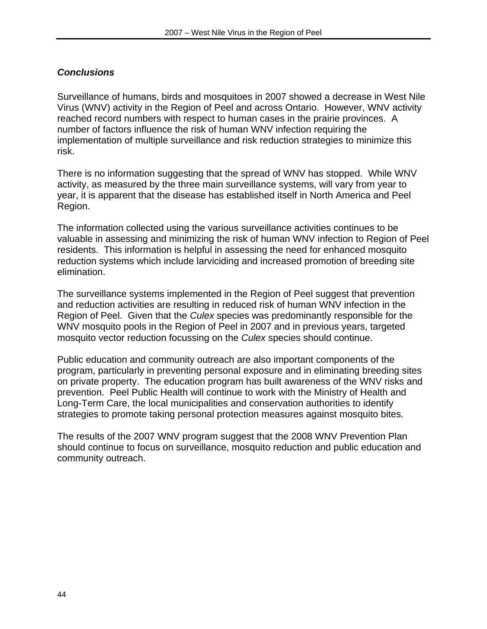# *Conclusions*

Surveillance of humans, birds and mosquitoes in 2007 showed a decrease in West Nile Virus (WNV) activity in the Region of Peel and across Ontario. However, WNV activity reached record numbers with respect to human cases in the prairie provinces. A number of factors influence the risk of human WNV infection requiring the implementation of multiple surveillance and risk reduction strategies to minimize this risk.

There is no information suggesting that the spread of WNV has stopped. While WNV activity, as measured by the three main surveillance systems, will vary from year to year, it is apparent that the disease has established itself in North America and Peel Region.

The information collected using the various surveillance activities continues to be valuable in assessing and minimizing the risk of human WNV infection to Region of Peel residents. This information is helpful in assessing the need for enhanced mosquito reduction systems which include larviciding and increased promotion of breeding site elimination.

The surveillance systems implemented in the Region of Peel suggest that prevention and reduction activities are resulting in reduced risk of human WNV infection in the Region of Peel. Given that the *Culex* species was predominantly responsible for the WNV mosquito pools in the Region of Peel in 2007 and in previous years, targeted mosquito vector reduction focussing on the *Culex* species should continue.

Public education and community outreach are also important components of the program, particularly in preventing personal exposure and in eliminating breeding sites on private property. The education program has built awareness of the WNV risks and prevention. Peel Public Health will continue to work with the Ministry of Health and Long-Term Care, the local municipalities and conservation authorities to identify strategies to promote taking personal protection measures against mosquito bites.

The results of the 2007 WNV program suggest that the 2008 WNV Prevention Plan should continue to focus on surveillance, mosquito reduction and public education and community outreach.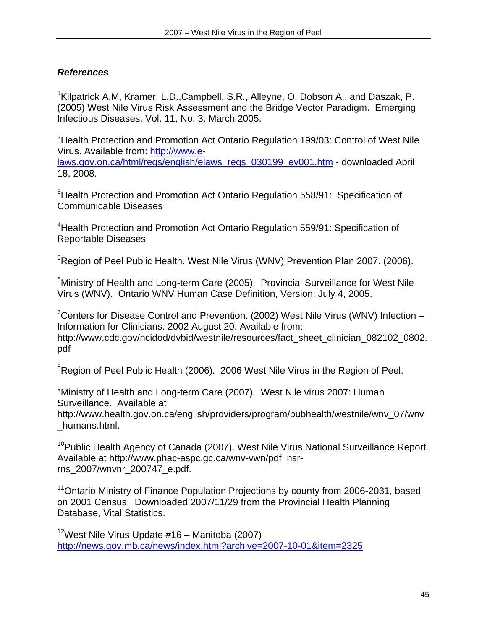# *References*

<sup>1</sup>Kilpatrick A.M, Kramer, L.D.,Campbell, S.R., Alleyne, O. Dobson A., and Daszak, P. (2005) West Nile Virus Risk Assessment and the Bridge Vector Paradigm. Emerging Infectious Diseases. Vol. 11, No. 3. March 2005.

<sup>2</sup>Health Protection and Promotion Act Ontario Regulation 199/03: Control of West Nile Virus. Available from: http://www.elaws.gov.on.ca/html/regs/english/elaws\_regs\_030199\_ev001.htm - downloaded April

18, 2008.

<sup>3</sup>Health Protection and Promotion Act Ontario Regulation 558/91: Specification of Communicable Diseases

<sup>4</sup> Health Protection and Promotion Act Ontario Regulation 559/91: Specification of Reportable Diseases

<sup>5</sup>Region of Peel Public Health. West Nile Virus (WNV) Prevention Plan 2007. (2006).

<sup>6</sup>Ministry of Health and Long-term Care (2005). Provincial Surveillance for West Nile Virus (WNV). Ontario WNV Human Case Definition, Version: July 4, 2005.

<sup>7</sup> Centers for Disease Control and Prevention. (2002) West Nile Virus (WNV) Infection -Information for Clinicians. 2002 August 20. Available from: http://www.cdc.gov/ncidod/dvbid/westnile/resources/fact\_sheet\_clinician\_082102\_0802. pdf

<sup>8</sup>Region of Peel Public Health (2006). 2006 West Nile Virus in the Region of Peel.

<sup>9</sup>Ministry of Health and Long-term Care (2007). West Nile virus 2007: Human Surveillance. Available at

http://www.health.gov.on.ca/english/providers/program/pubhealth/westnile/wnv\_07/wnv \_humans.html.

<sup>10</sup>Public Health Agency of Canada (2007). West Nile Virus National Surveillance Report. Available at http://www.phac-aspc.gc.ca/wnv-vwn/pdf\_nsrrns\_2007/wnvnr\_200747\_e.pdf.

<sup>11</sup>Ontario Ministry of Finance Population Projections by county from 2006-2031, based on 2001 Census. Downloaded 2007/11/29 from the Provincial Health Planning Database, Vital Statistics.

<sup>12</sup>West Nile Virus Update #16 – Manitoba (2007) http://news.gov.mb.ca/news/index.html?archive=2007-10-01&item=2325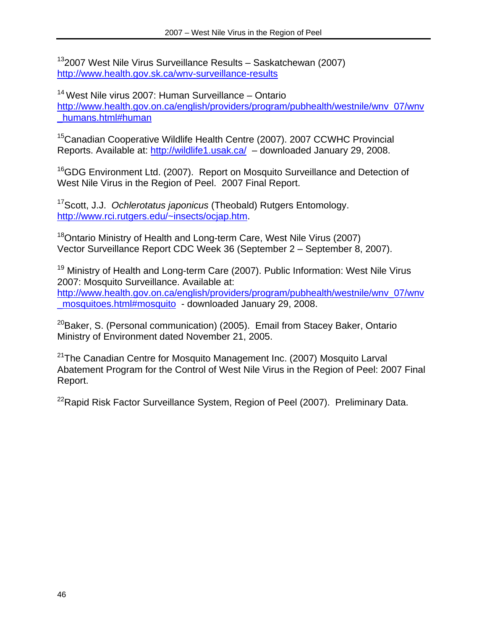132007 West Nile Virus Surveillance Results – Saskatchewan (2007) http://www.health.gov.sk.ca/wnv-surveillance-results

14 West Nile virus 2007: Human Surveillance – Ontario http://www.health.gov.on.ca/english/providers/program/pubhealth/westnile/wnv\_07/wnv \_humans.html#human

15Canadian Cooperative Wildlife Health Centre (2007). 2007 CCWHC Provincial Reports. Available at: http://wildlife1.usak.ca/ – downloaded January 29, 2008.

<sup>16</sup>GDG Environment Ltd. (2007). Report on Mosquito Surveillance and Detection of West Nile Virus in the Region of Peel. 2007 Final Report.

17Scott, J.J. *Ochlerotatus japonicus* (Theobald) Rutgers Entomology. http://www.rci.rutgers.edu/~insects/ocjap.htm.

<sup>18</sup>Ontario Ministry of Health and Long-term Care, West Nile Virus (2007) Vector Surveillance Report CDC Week 36 (September 2 – September 8, 2007).

<sup>19</sup> Ministry of Health and Long-term Care (2007). Public Information: West Nile Virus 2007: Mosquito Surveillance. Available at: http://www.health.gov.on.ca/english/providers/program/pubhealth/westnile/wnv\_07/wnv mosquitoes.html#mosquito - downloaded January 29, 2008.

<sup>20</sup>Baker, S. (Personal communication) (2005). Email from Stacey Baker, Ontario Ministry of Environment dated November 21, 2005.

<sup>21</sup>The Canadian Centre for Mosquito Management Inc. (2007) Mosquito Larval Abatement Program for the Control of West Nile Virus in the Region of Peel: 2007 Final Report.

<sup>22</sup>Rapid Risk Factor Surveillance System, Region of Peel (2007). Preliminary Data.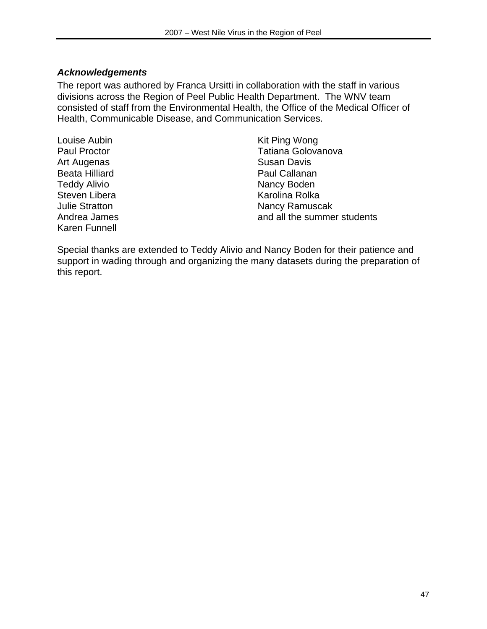#### *Acknowledgements*

The report was authored by Franca Ursitti in collaboration with the staff in various divisions across the Region of Peel Public Health Department. The WNV team consisted of staff from the Environmental Health, the Office of the Medical Officer of Health, Communicable Disease, and Communication Services.

Louise Aubin Paul Proctor Art Augenas Beata Hilliard Teddy Alivio Steven Libera Julie Stratton Andrea James Karen Funnell

Kit Ping Wong Tatiana Golovanova Susan Davis Paul Callanan Nancy Boden Karolina Rolka Nancy Ramuscak and all the summer students

Special thanks are extended to Teddy Alivio and Nancy Boden for their patience and support in wading through and organizing the many datasets during the preparation of this report.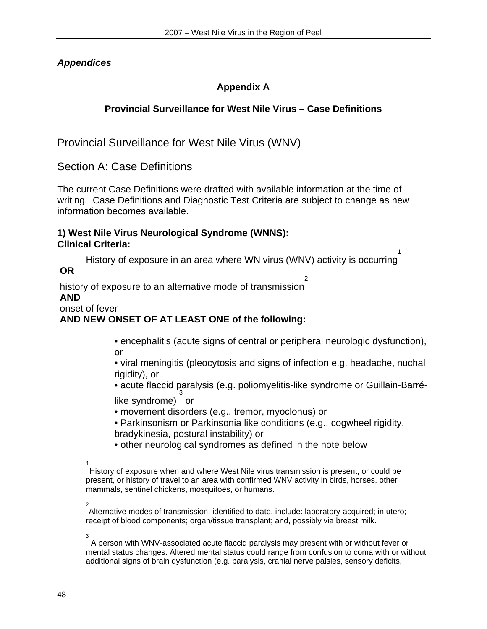# *Appendices*

# **Appendix A**

# **Provincial Surveillance for West Nile Virus – Case Definitions**

Provincial Surveillance for West Nile Virus (WNV)

# Section A: Case Definitions

The current Case Definitions were drafted with available information at the time of writing. Case Definitions and Diagnostic Test Criteria are subject to change as new information becomes available.

#### **1) West Nile Virus Neurological Syndrome (WNNS): Clinical Criteria:**

History of exposure in an area where WN virus (WNV) activity is occurring 1  **OR** 

 history of exposure to an alternative mode of transmission 2  **AND** 

#### onset of fever

# **AND NEW ONSET OF AT LEAST ONE of the following:**

 • encephalitis (acute signs of central or peripheral neurologic dysfunction), or

 • viral meningitis (pleocytosis and signs of infection e.g. headache, nuchal rigidity), or

 $\bullet$  acute flaccid paralysis (e.g. poliomyelitis-like syndrome or Guillain-Barrélike syndrome) or

- movement disorders (e.g., tremor, myoclonus) or
- Parkinsonism or Parkinsonia like conditions (e.g., cogwheel rigidity, bradykinesia, postural instability) or
- other neurological syndromes as defined in the note below

1

History of exposure when and where West Nile virus transmission is present, or could be present, or history of travel to an area with confirmed WNV activity in birds, horses, other mammals, sentinel chickens, mosquitoes, or humans.

 2 Alternative modes of transmission, identified to date, include: laboratory-acquired; in utero; receipt of blood components; organ/tissue transplant; and, possibly via breast milk.

3

 A person with WNV-associated acute flaccid paralysis may present with or without fever or mental status changes. Altered mental status could range from confusion to coma with or without additional signs of brain dysfunction (e.g. paralysis, cranial nerve palsies, sensory deficits,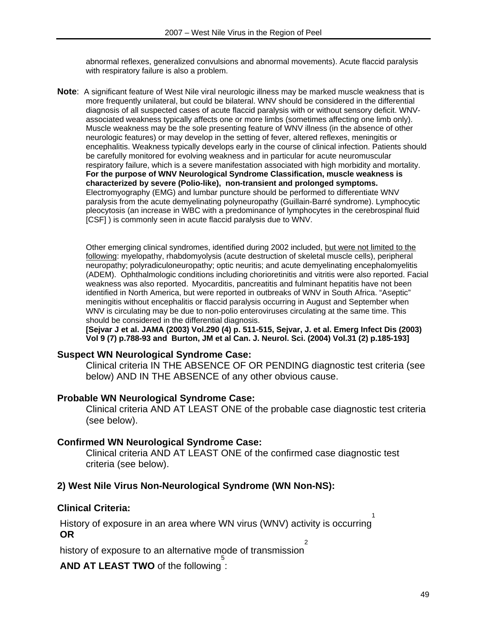abnormal reflexes, generalized convulsions and abnormal movements). Acute flaccid paralysis with respiratory failure is also a problem.

**Note**: A significant feature of West Nile viral neurologic illness may be marked muscle weakness that is more frequently unilateral, but could be bilateral. WNV should be considered in the differential diagnosis of all suspected cases of acute flaccid paralysis with or without sensory deficit. WNVassociated weakness typically affects one or more limbs (sometimes affecting one limb only). Muscle weakness may be the sole presenting feature of WNV illness (in the absence of other neurologic features) or may develop in the setting of fever, altered reflexes, meningitis or encephalitis. Weakness typically develops early in the course of clinical infection. Patients should be carefully monitored for evolving weakness and in particular for acute neuromuscular respiratory failure, which is a severe manifestation associated with high morbidity and mortality. **For the purpose of WNV Neurological Syndrome Classification, muscle weakness is characterized by severe (Polio-like), non-transient and prolonged symptoms.** Electromyography (EMG) and lumbar puncture should be performed to differentiate WNV paralysis from the acute demyelinating polyneuropathy (Guillain-Barré syndrome). Lymphocytic pleocytosis (an increase in WBC with a predominance of lymphocytes in the cerebrospinal fluid [CSF] ) is commonly seen in acute flaccid paralysis due to WNV.

Other emerging clinical syndromes, identified during 2002 included, but were not limited to the following: myelopathy, rhabdomyolysis (acute destruction of skeletal muscle cells), peripheral neuropathy; polyradiculoneuropathy; optic neuritis; and acute demyelinating encephalomyelitis (ADEM). Ophthalmologic conditions including chorioretinitis and vitritis were also reported. Facial weakness was also reported. Myocarditis, pancreatitis and fulminant hepatitis have not been identified in North America, but were reported in outbreaks of WNV in South Africa. "Aseptic" meningitis without encephalitis or flaccid paralysis occurring in August and September when WNV is circulating may be due to non-polio enteroviruses circulating at the same time. This should be considered in the differential diagnosis.

**[Sejvar J et al. JAMA (2003) Vol.290 (4) p. 511-515, Sejvar, J. et al. Emerg Infect Dis (2003) Vol 9 (7) p.788-93 and Burton, JM et al Can. J. Neurol. Sci. (2004) Vol.31 (2) p.185-193]** 

#### **Suspect WN Neurological Syndrome Case:**

Clinical criteria IN THE ABSENCE OF OR PENDING diagnostic test criteria (see below) AND IN THE ABSENCE of any other obvious cause.

#### **Probable WN Neurological Syndrome Case:**

Clinical criteria AND AT LEAST ONE of the probable case diagnostic test criteria (see below).

#### **Confirmed WN Neurological Syndrome Case:**

Clinical criteria AND AT LEAST ONE of the confirmed case diagnostic test criteria (see below).

#### **2) West Nile Virus Non-Neurological Syndrome (WN Non-NS):**

#### **Clinical Criteria:**

 History of exposure in an area where WN virus (WNV) activity is occurring 1  **OR** 

 history of exposure to an alternative mode of transmission 2

**AND AT LEAST TWO** of the following : 5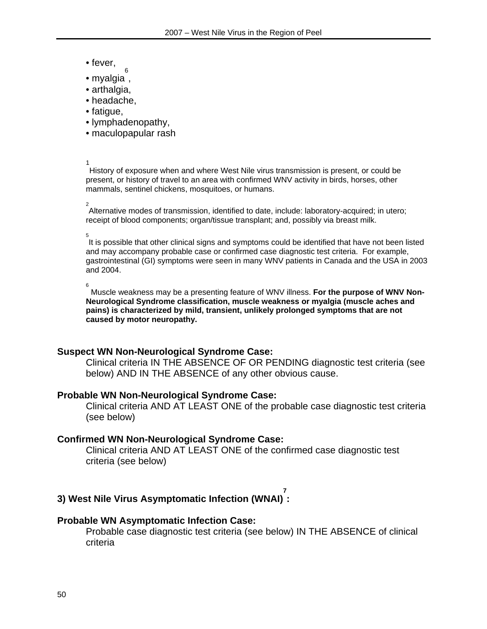- fever,
- myalgia , 6
- arthalgia,
- headache,
- fatigue,
- lymphadenopathy,
- maculopapular rash

1<br>1<br>1<br>1

History of exposure when and where West Nile virus transmission is present, or could be present, or history of travel to an area with confirmed WNV activity in birds, horses, other mammals, sentinel chickens, mosquitoes, or humans.

# 2

Alternative modes of transmission, identified to date, include: laboratory-acquired; in utero; receipt of blood components; organ/tissue transplant; and, possibly via breast milk.

 $\overline{5}$ 

It is possible that other clinical signs and symptoms could be identified that have not been listed and may accompany probable case or confirmed case diagnostic test criteria. For example, gastrointestinal (GI) symptoms were seen in many WNV patients in Canada and the USA in 2003 and 2004.

6

 Muscle weakness may be a presenting feature of WNV illness. **For the purpose of WNV Non-Neurological Syndrome classification, muscle weakness or myalgia (muscle aches and pains) is characterized by mild, transient, unlikely prolonged symptoms that are not caused by motor neuropathy.** 

#### **Suspect WN Non-Neurological Syndrome Case:**

Clinical criteria IN THE ABSENCE OF OR PENDING diagnostic test criteria (see below) AND IN THE ABSENCE of any other obvious cause.

#### **Probable WN Non-Neurological Syndrome Case:**

Clinical criteria AND AT LEAST ONE of the probable case diagnostic test criteria (see below)

#### **Confirmed WN Non-Neurological Syndrome Case:**

Clinical criteria AND AT LEAST ONE of the confirmed case diagnostic test criteria (see below)

#### **3) West Nile Virus Asymptomatic Infection (WNAI) 7 :**

#### **Probable WN Asymptomatic Infection Case:**

Probable case diagnostic test criteria (see below) IN THE ABSENCE of clinical criteria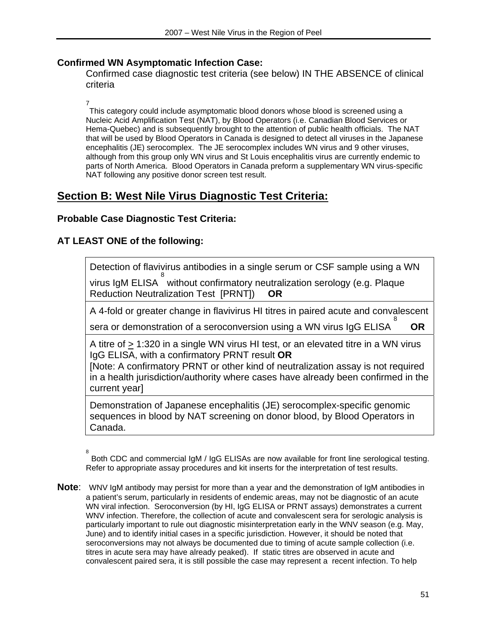#### **Confirmed WN Asymptomatic Infection Case:**

Confirmed case diagnostic test criteria (see below) IN THE ABSENCE of clinical criteria

7

This category could include asymptomatic blood donors whose blood is screened using a Nucleic Acid Amplification Test (NAT), by Blood Operators (i.e. Canadian Blood Services or Hema-Quebec) and is subsequently brought to the attention of public health officials. The NAT that will be used by Blood Operators in Canada is designed to detect all viruses in the Japanese encephalitis (JE) serocomplex. The JE serocomplex includes WN virus and 9 other viruses, although from this group only WN virus and St Louis encephalitis virus are currently endemic to parts of North America. Blood Operators in Canada preform a supplementary WN virus-specific NAT following any positive donor screen test result.

# **Section B: West Nile Virus Diagnostic Test Criteria:**

# **Probable Case Diagnostic Test Criteria:**

# **AT LEAST ONE of the following:**

Detection of flavivirus antibodies in a single serum or CSF sample using a WN virus IgM ELISA 8 without confirmatory neutralization serology (e.g. Plaque Reduction Neutralization Test [PRNT]) **OR**

A 4-fold or greater change in flavivirus HI titres in paired acute and convalescent

sera or demonstration of a seroconversion using a WN virus IgG ELISA 8 **OR**

A titre of  $\geq$  1:320 in a single WN virus HI test, or an elevated titre in a WN virus IgG ELISA, with a confirmatory PRNT result **OR**

[Note: A confirmatory PRNT or other kind of neutralization assay is not required in a health jurisdiction/authority where cases have already been confirmed in the current year]

Demonstration of Japanese encephalitis (JE) serocomplex-specific genomic sequences in blood by NAT screening on donor blood, by Blood Operators in Canada.

**Note**: WNV IgM antibody may persist for more than a year and the demonstration of IgM antibodies in a patient's serum, particularly in residents of endemic areas, may not be diagnostic of an acute WN viral infection. Seroconversion (by HI, IgG ELISA or PRNT assays) demonstrates a current WNV infection. Therefore, the collection of acute and convalescent sera for serologic analysis is particularly important to rule out diagnostic misinterpretation early in the WNV season (e.g. May, June) and to identify initial cases in a specific jurisdiction. However, it should be noted that seroconversions may not always be documented due to timing of acute sample collection (i.e. titres in acute sera may have already peaked). If static titres are observed in acute and convalescent paired sera, it is still possible the case may represent a recent infection. To help

<sup>8</sup> Both CDC and commercial IgM / IgG ELISAs are now available for front line serological testing. Refer to appropriate assay procedures and kit inserts for the interpretation of test results.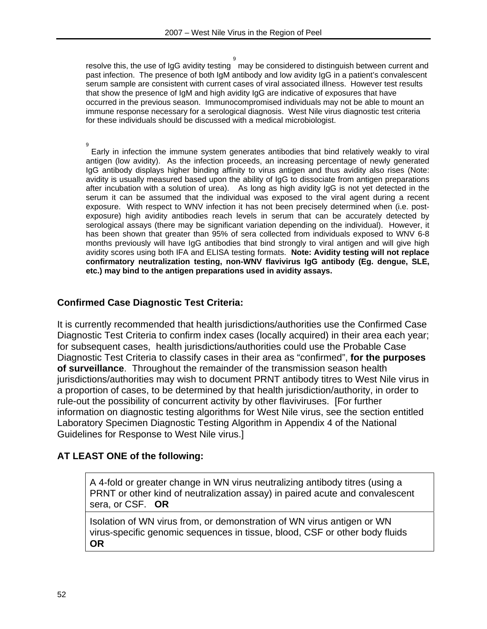resolve this, the use of IgG avidity testing 9 may be considered to distinguish between current and past infection. The presence of both IgM antibody and low avidity IgG in a patient's convalescent serum sample are consistent with current cases of viral associated illness. However test results that show the presence of IgM and high avidity IgG are indicative of exposures that have occurred in the previous season. Immunocompromised individuals may not be able to mount an immune response necessary for a serological diagnosis. West Nile virus diagnostic test criteria for these individuals should be discussed with a medical microbiologist.

9

Early in infection the immune system generates antibodies that bind relatively weakly to viral antigen (low avidity). As the infection proceeds, an increasing percentage of newly generated IgG antibody displays higher binding affinity to virus antigen and thus avidity also rises (Note: avidity is usually measured based upon the ability of IgG to dissociate from antigen preparations after incubation with a solution of urea). As long as high avidity IgG is not yet detected in the serum it can be assumed that the individual was exposed to the viral agent during a recent exposure. With respect to WNV infection it has not been precisely determined when (i.e. postexposure) high avidity antibodies reach levels in serum that can be accurately detected by serological assays (there may be significant variation depending on the individual). However, it has been shown that greater than 95% of sera collected from individuals exposed to WNV 6-8 months previously will have IgG antibodies that bind strongly to viral antigen and will give high avidity scores using both IFA and ELISA testing formats. **Note: Avidity testing will not replace confirmatory neutralization testing, non-WNV flavivirus IgG antibody (Eg. dengue, SLE, etc.) may bind to the antigen preparations used in avidity assays.** 

#### **Confirmed Case Diagnostic Test Criteria:**

It is currently recommended that health jurisdictions/authorities use the Confirmed Case Diagnostic Test Criteria to confirm index cases (locally acquired) in their area each year; for subsequent cases, health jurisdictions/authorities could use the Probable Case Diagnostic Test Criteria to classify cases in their area as "confirmed", **for the purposes of surveillance**. Throughout the remainder of the transmission season health jurisdictions/authorities may wish to document PRNT antibody titres to West Nile virus in a proportion of cases, to be determined by that health jurisdiction/authority, in order to rule-out the possibility of concurrent activity by other flaviviruses. [For further information on diagnostic testing algorithms for West Nile virus, see the section entitled Laboratory Specimen Diagnostic Testing Algorithm in Appendix 4 of the National Guidelines for Response to West Nile virus.]

# **AT LEAST ONE of the following:**

A 4-fold or greater change in WN virus neutralizing antibody titres (using a PRNT or other kind of neutralization assay) in paired acute and convalescent sera, or CSF. **OR**

Isolation of WN virus from, or demonstration of WN virus antigen or WN virus-specific genomic sequences in tissue, blood, CSF or other body fluids **OR**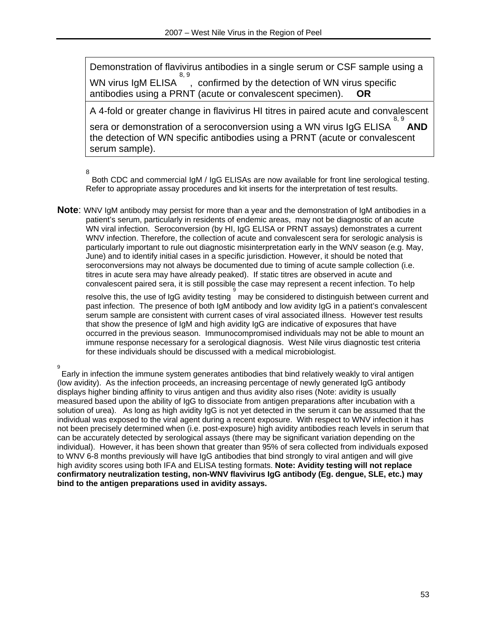Demonstration of flavivirus antibodies in a single serum or CSF sample using a WN virus IgM ELISA 8, 9 , confirmed by the detection of WN virus specific antibodies using a PRNT (acute or convalescent specimen). **OR**

A 4-fold or greater change in flavivirus HI titres in paired acute and convalescent 8, 9

sera or demonstration of a seroconversion using a WN virus IgG ELISA **AND** the detection of WN specific antibodies using a PRNT (acute or convalescent serum sample).

8

 Both CDC and commercial IgM / IgG ELISAs are now available for front line serological testing. Refer to appropriate assay procedures and kit inserts for the interpretation of test results.

**Note**: WNV IgM antibody may persist for more than a year and the demonstration of IgM antibodies in a patient's serum, particularly in residents of endemic areas, may not be diagnostic of an acute WN viral infection. Seroconversion (by HI, IgG ELISA or PRNT assays) demonstrates a current WNV infection. Therefore, the collection of acute and convalescent sera for serologic analysis is particularly important to rule out diagnostic misinterpretation early in the WNV season (e.g. May, June) and to identify initial cases in a specific jurisdiction. However, it should be noted that seroconversions may not always be documented due to timing of acute sample collection (i.e. titres in acute sera may have already peaked). If static titres are observed in acute and convalescent paired sera, it is still possible the case may represent a recent infection. To help

resolve this, the use of IgG avidity testing may be considered to distinguish between current and past infection. The presence of both IgM antibody and low avidity IgG in a patient's convalescent serum sample are consistent with current cases of viral associated illness. However test results that show the presence of IgM and high avidity IgG are indicative of exposures that have occurred in the previous season. Immunocompromised individuals may not be able to mount an immune response necessary for a serological diagnosis. West Nile virus diagnostic test criteria for these individuals should be discussed with a medical microbiologist.

9

Early in infection the immune system generates antibodies that bind relatively weakly to viral antigen (low avidity). As the infection proceeds, an increasing percentage of newly generated IgG antibody displays higher binding affinity to virus antigen and thus avidity also rises (Note: avidity is usually measured based upon the ability of IgG to dissociate from antigen preparations after incubation with a solution of urea). As long as high avidity IgG is not yet detected in the serum it can be assumed that the individual was exposed to the viral agent during a recent exposure. With respect to WNV infection it has not been precisely determined when (i.e. post-exposure) high avidity antibodies reach levels in serum that can be accurately detected by serological assays (there may be significant variation depending on the individual). However, it has been shown that greater than 95% of sera collected from individuals exposed to WNV 6-8 months previously will have IgG antibodies that bind strongly to viral antigen and will give high avidity scores using both IFA and ELISA testing formats. **Note: Avidity testing will not replace confirmatory neutralization testing, non-WNV flavivirus IgG antibody (Eg. dengue, SLE, etc.) may bind to the antigen preparations used in avidity assays.**